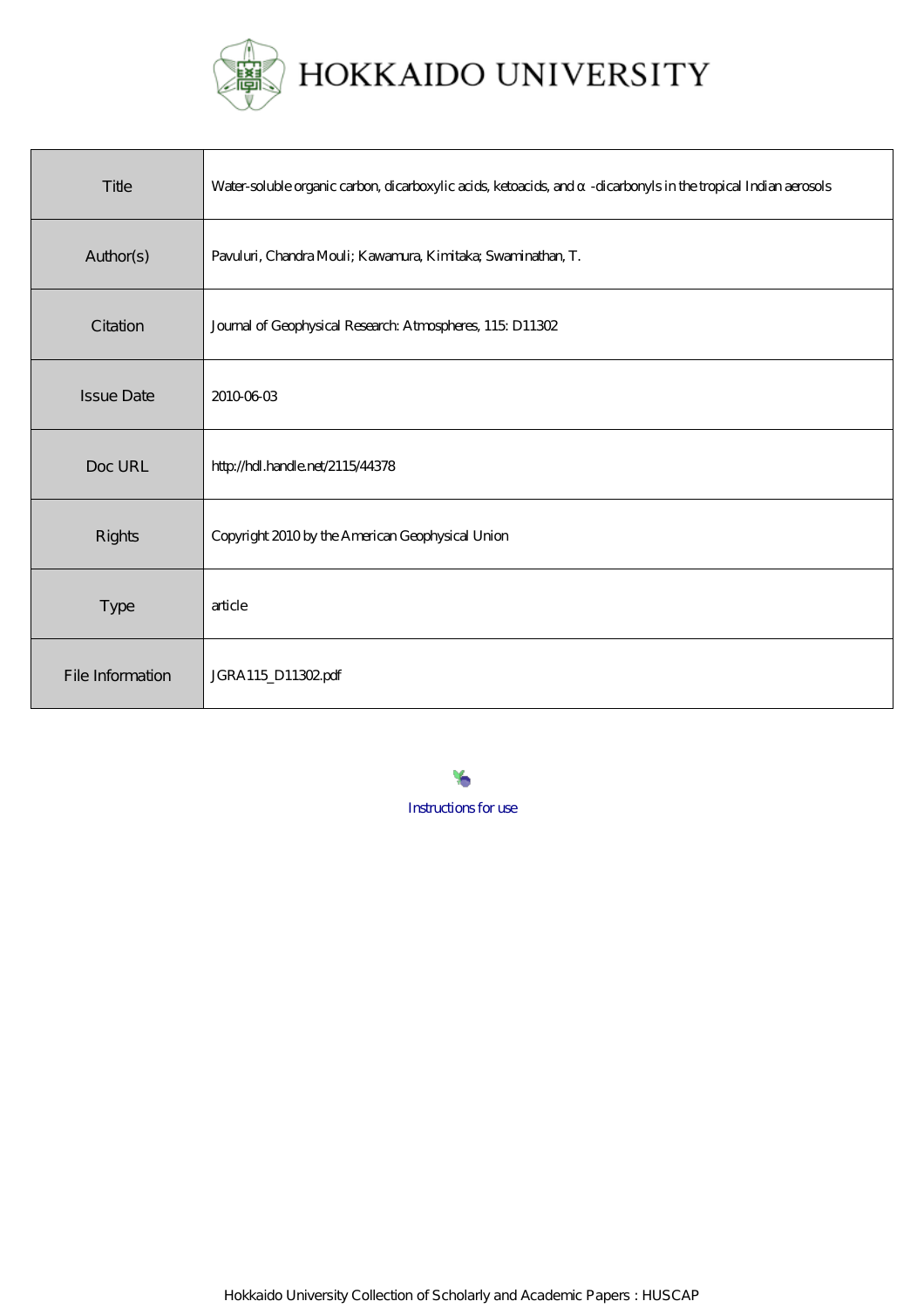

| Title             | Water-soluble organic carbon, dicarboxylic acids, ketoacids, and -dicarbonyls in the tropical Indian aerosols |
|-------------------|---------------------------------------------------------------------------------------------------------------|
| Author(s)         | Pavuluri, Chandra Mouli; Kawamura, Kimitaka; Swaminathan, T.                                                  |
| Citation          | Journal of Geophysical Research Atmospheres, 115 D11302                                                       |
| <b>Issue Date</b> | 2010-06-03                                                                                                    |
| Doc URL           | http://hdl.handle.net/2115/44378                                                                              |
| <b>Rights</b>     | Copyright 2010 by the American Geophysical Union                                                              |
| <b>Type</b>       | article                                                                                                       |
| File Information  | JGRA115_D11302pdf                                                                                             |

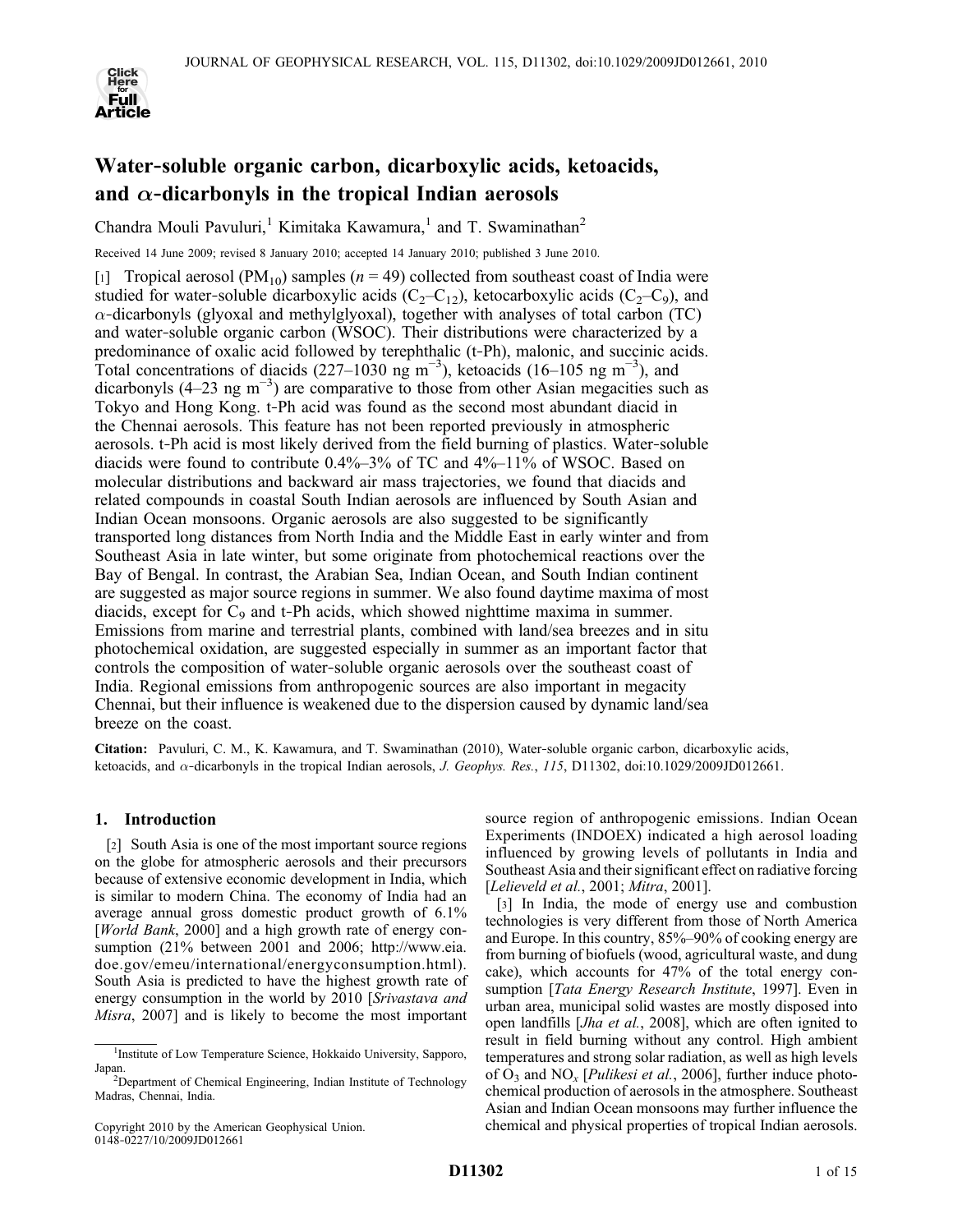

# Water‐soluble organic carbon, dicarboxylic acids, ketoacids, and  $\alpha$ -dicarbonyls in the tropical Indian aerosols

Chandra Mouli Pavuluri,<sup>1</sup> Kimitaka Kawamura,<sup>1</sup> and T. Swaminathan<sup>2</sup>

Received 14 June 2009; revised 8 January 2010; accepted 14 January 2010; published 3 June 2010.

[1] Tropical aerosol (PM<sub>10</sub>) samples ( $n = 49$ ) collected from southeast coast of India were studied for water-soluble dicarboxylic acids  $(C_2-C_{12})$ , ketocarboxylic acids  $(C_2-C_9)$ , and  $\alpha$ -dicarbonyls (glyoxal and methylglyoxal), together with analyses of total carbon (TC) and water‐soluble organic carbon (WSOC). Their distributions were characterized by a predominance of oxalic acid followed by terephthalic (t‐Ph), malonic, and succinic acids. Total concentrations of diacids (227–1030 ng m<sup>-3</sup>), ketoacids (16–105 ng m<sup>-3</sup>), and dicarbonyls (4–23 ng m<sup>-3</sup>) are comparative to those from other Asian megacities such as Tokyo and Hong Kong. t‐Ph acid was found as the second most abundant diacid in the Chennai aerosols. This feature has not been reported previously in atmospheric aerosols. t‐Ph acid is most likely derived from the field burning of plastics. Water‐soluble diacids were found to contribute 0.4%–3% of TC and 4%–11% of WSOC. Based on molecular distributions and backward air mass trajectories, we found that diacids and related compounds in coastal South Indian aerosols are influenced by South Asian and Indian Ocean monsoons. Organic aerosols are also suggested to be significantly transported long distances from North India and the Middle East in early winter and from Southeast Asia in late winter, but some originate from photochemical reactions over the Bay of Bengal. In contrast, the Arabian Sea, Indian Ocean, and South Indian continent are suggested as major source regions in summer. We also found daytime maxima of most diacids, except for  $C_9$  and t-Ph acids, which showed nighttime maxima in summer. Emissions from marine and terrestrial plants, combined with land/sea breezes and in situ photochemical oxidation, are suggested especially in summer as an important factor that controls the composition of water‐soluble organic aerosols over the southeast coast of India. Regional emissions from anthropogenic sources are also important in megacity Chennai, but their influence is weakened due to the dispersion caused by dynamic land/sea breeze on the coast.

Citation: Pavuluri, C. M., K. Kawamura, and T. Swaminathan (2010), Water‐soluble organic carbon, dicarboxylic acids, ketoacids, and  $\alpha$ -dicarbonyls in the tropical Indian aerosols, J. Geophys. Res., 115, D11302, doi:10.1029/2009JD012661.

# 1. Introduction

[2] South Asia is one of the most important source regions on the globe for atmospheric aerosols and their precursors because of extensive economic development in India, which is similar to modern China. The economy of India had an average annual gross domestic product growth of 6.1% [World Bank, 2000] and a high growth rate of energy consumption (21% between 2001 and 2006; http://www.eia. doe.gov/emeu/international/energyconsumption.html). South Asia is predicted to have the highest growth rate of energy consumption in the world by 2010 [Srivastava and Misra, 2007] and is likely to become the most important

Copyright 2010 by the American Geophysical Union. 0148‐0227/10/2009JD012661

source region of anthropogenic emissions. Indian Ocean Experiments (INDOEX) indicated a high aerosol loading influenced by growing levels of pollutants in India and Southeast Asia and their significant effect on radiative forcing [Lelieveld et al., 2001; Mitra, 2001].

[3] In India, the mode of energy use and combustion technologies is very different from those of North America and Europe. In this country, 85%–90% of cooking energy are from burning of biofuels (wood, agricultural waste, and dung cake), which accounts for 47% of the total energy consumption [*Tata Energy Research Institute*, 1997]. Even in urban area, municipal solid wastes are mostly disposed into open landfills [Jha et al., 2008], which are often ignited to result in field burning without any control. High ambient temperatures and strong solar radiation, as well as high levels of  $O_3$  and NO<sub>x</sub> [*Pulikesi et al.*, 2006], further induce photochemical production of aerosols in the atmosphere. Southeast Asian and Indian Ocean monsoons may further influence the chemical and physical properties of tropical Indian aerosols.

<sup>&</sup>lt;sup>1</sup>Institute of Low Temperature Science, Hokkaido University, Sapporo, Japan.

Department of Chemical Engineering, Indian Institute of Technology Madras, Chennai, India.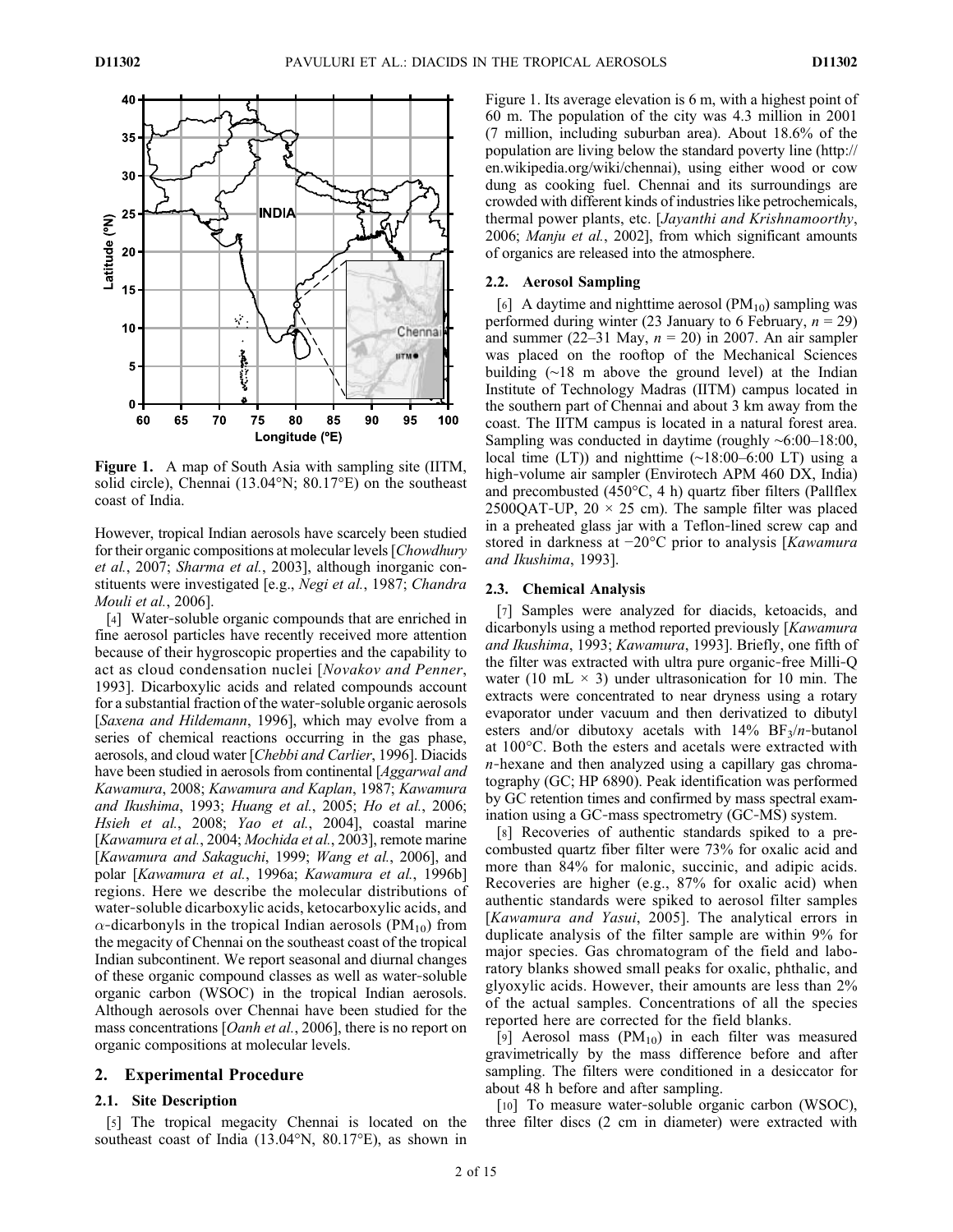

Figure 1. A map of South Asia with sampling site (IITM, solid circle), Chennai (13.04°N; 80.17°E) on the southeast coast of India.

However, tropical Indian aerosols have scarcely been studied for their organic compositions at molecular levels [Chowdhurv et al., 2007; Sharma et al., 2003], although inorganic constituents were investigated [e.g., Negi et al., 1987; Chandra Mouli et al., 2006].

[4] Water-soluble organic compounds that are enriched in fine aerosol particles have recently received more attention because of their hygroscopic properties and the capability to act as cloud condensation nuclei [Novakov and Penner, 1993]. Dicarboxylic acids and related compounds account for a substantial fraction of the water‐soluble organic aerosols [Saxena and Hildemann, 1996], which may evolve from a series of chemical reactions occurring in the gas phase, aerosols, and cloud water [Chebbi and Carlier, 1996]. Diacids have been studied in aerosols from continental [*Aggarwal and* Kawamura, 2008; Kawamura and Kaplan, 1987; Kawamura and Ikushima, 1993; Huang et al., 2005; Ho et al., 2006; Hsieh et al., 2008; Yao et al., 2004], coastal marine [Kawamura et al., 2004; Mochida et al., 2003], remote marine [Kawamura and Sakaguchi, 1999; Wang et al., 2006], and polar [Kawamura et al., 1996a; Kawamura et al., 1996b] regions. Here we describe the molecular distributions of water‐soluble dicarboxylic acids, ketocarboxylic acids, and  $\alpha$ -dicarbonyls in the tropical Indian aerosols (PM<sub>10</sub>) from the megacity of Chennai on the southeast coast of the tropical Indian subcontinent. We report seasonal and diurnal changes of these organic compound classes as well as water‐soluble organic carbon (WSOC) in the tropical Indian aerosols. Although aerosols over Chennai have been studied for the mass concentrations [*Oanh et al.*, 2006], there is no report on organic compositions at molecular levels.

## 2. Experimental Procedure

# 2.1. Site Description

[5] The tropical megacity Chennai is located on the southeast coast of India (13.04°N, 80.17°E), as shown in

Figure 1. Its average elevation is 6 m, with a highest point of 60 m. The population of the city was 4.3 million in 2001 (7 million, including suburban area). About 18.6% of the population are living below the standard poverty line (http:// en.wikipedia.org/wiki/chennai), using either wood or cow dung as cooking fuel. Chennai and its surroundings are crowded with different kinds of industries like petrochemicals, thermal power plants, etc. [Jayanthi and Krishnamoorthy, 2006; Manju et al., 2002], from which significant amounts of organics are released into the atmosphere.

#### 2.2. Aerosol Sampling

[6] A daytime and nighttime aerosol  $(PM_{10})$  sampling was performed during winter (23 January to 6 February,  $n = 29$ ) and summer (22–31 May,  $n = 20$ ) in 2007. An air sampler was placed on the rooftop of the Mechanical Sciences building (∼18 m above the ground level) at the Indian Institute of Technology Madras (IITM) campus located in the southern part of Chennai and about 3 km away from the coast. The IITM campus is located in a natural forest area. Sampling was conducted in daytime (roughly ∼6:00–18:00, local time (LT)) and nighttime (∼18:00–6:00 LT) using a high-volume air sampler (Envirotech APM 460 DX, India) and precombusted (450°C, 4 h) quartz fiber filters (Pallflex 2500QAT-UP,  $20 \times 25$  cm). The sample filter was placed in a preheated glass jar with a Teflon‐lined screw cap and stored in darkness at −20°C prior to analysis [Kawamura and Ikushima, 1993].

#### 2.3. Chemical Analysis

[7] Samples were analyzed for diacids, ketoacids, and dicarbonyls using a method reported previously [Kawamura and Ikushima, 1993; Kawamura, 1993]. Briefly, one fifth of the filter was extracted with ultra pure organic‐free Milli‐Q water (10 mL  $\times$  3) under ultrasonication for 10 min. The extracts were concentrated to near dryness using a rotary evaporator under vacuum and then derivatized to dibutyl esters and/or dibutoxy acetals with  $14\%$  BF<sub>3</sub>/n-butanol at 100°C. Both the esters and acetals were extracted with  $n$ -hexane and then analyzed using a capillary gas chromatography (GC; HP 6890). Peak identification was performed by GC retention times and confirmed by mass spectral examination using a GC‐mass spectrometry (GC‐MS) system.

[8] Recoveries of authentic standards spiked to a precombusted quartz fiber filter were 73% for oxalic acid and more than 84% for malonic, succinic, and adipic acids. Recoveries are higher (e.g., 87% for oxalic acid) when authentic standards were spiked to aerosol filter samples [Kawamura and Yasui, 2005]. The analytical errors in duplicate analysis of the filter sample are within 9% for major species. Gas chromatogram of the field and laboratory blanks showed small peaks for oxalic, phthalic, and glyoxylic acids. However, their amounts are less than 2% of the actual samples. Concentrations of all the species reported here are corrected for the field blanks.

[9] Aerosol mass  $(PM_{10})$  in each filter was measured gravimetrically by the mass difference before and after sampling. The filters were conditioned in a desiccator for about 48 h before and after sampling.

[10] To measure water-soluble organic carbon (WSOC), three filter discs (2 cm in diameter) were extracted with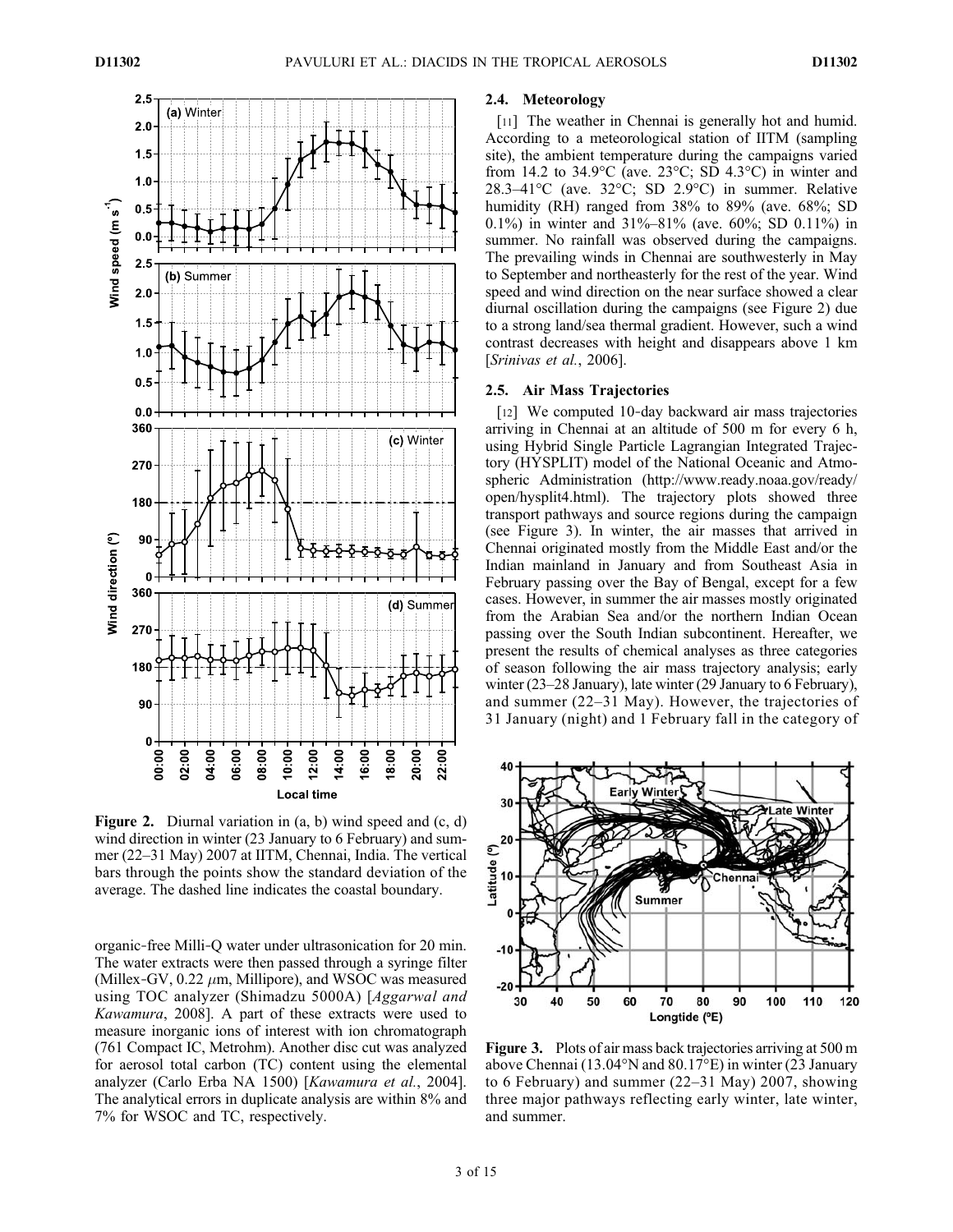

Figure 2. Diurnal variation in (a, b) wind speed and (c, d) wind direction in winter (23 January to 6 February) and summer (22–31 May) 2007 at IITM, Chennai, India. The vertical bars through the points show the standard deviation of the average. The dashed line indicates the coastal boundary.

organic‐free Milli‐Q water under ultrasonication for 20 min. The water extracts were then passed through a syringe filter (Millex-GV,  $0.22 \mu m$ , Millipore), and WSOC was measured using TOC analyzer (Shimadzu 5000A) [Aggarwal and Kawamura, 2008]. A part of these extracts were used to measure inorganic ions of interest with ion chromatograph (761 Compact IC, Metrohm). Another disc cut was analyzed for aerosol total carbon (TC) content using the elemental analyzer (Carlo Erba NA 1500) [Kawamura et al., 2004]. The analytical errors in duplicate analysis are within 8% and 7% for WSOC and TC, respectively.

### 2.4. Meteorology

[11] The weather in Chennai is generally hot and humid. According to a meteorological station of IITM (sampling site), the ambient temperature during the campaigns varied from 14.2 to 34.9 $\rm ^{o}C$  (ave. 23 $\rm ^{o}C$ ; SD 4.3 $\rm ^{o}C$ ) in winter and 28.3–41°C (ave. 32°C; SD 2.9°C) in summer. Relative humidity (RH) ranged from 38% to 89% (ave. 68%; SD 0.1%) in winter and 31%–81% (ave. 60%; SD 0.11%) in summer. No rainfall was observed during the campaigns. The prevailing winds in Chennai are southwesterly in May to September and northeasterly for the rest of the year. Wind speed and wind direction on the near surface showed a clear diurnal oscillation during the campaigns (see Figure 2) due to a strong land/sea thermal gradient. However, such a wind contrast decreases with height and disappears above 1 km [Srinivas et al., 2006].

## 2.5. Air Mass Trajectories

[12] We computed 10-day backward air mass trajectories arriving in Chennai at an altitude of 500 m for every 6 h, using Hybrid Single Particle Lagrangian Integrated Trajectory (HYSPLIT) model of the National Oceanic and Atmospheric Administration (http://www.ready.noaa.gov/ready/ open/hysplit4.html). The trajectory plots showed three transport pathways and source regions during the campaign (see Figure 3). In winter, the air masses that arrived in Chennai originated mostly from the Middle East and/or the Indian mainland in January and from Southeast Asia in February passing over the Bay of Bengal, except for a few cases. However, in summer the air masses mostly originated from the Arabian Sea and/or the northern Indian Ocean passing over the South Indian subcontinent. Hereafter, we present the results of chemical analyses as three categories of season following the air mass trajectory analysis; early winter (23–28 January), late winter (29 January to 6 February), and summer (22–31 May). However, the trajectories of 31 January (night) and 1 February fall in the category of



Figure 3. Plots of air mass back trajectories arriving at 500 m above Chennai (13.04°N and 80.17°E) in winter (23 January to 6 February) and summer (22–31 May) 2007, showing three major pathways reflecting early winter, late winter, and summer.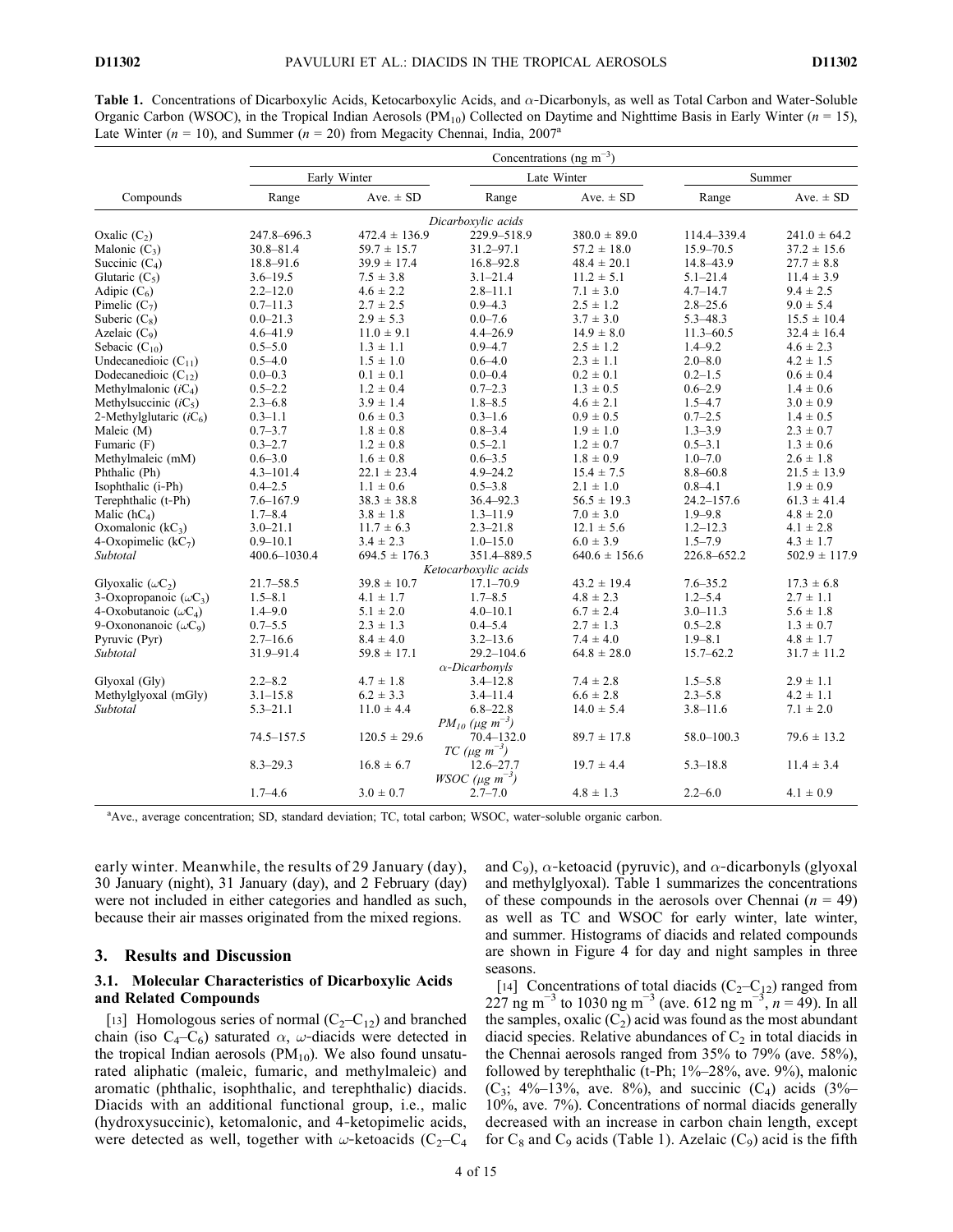**Table 1.** Concentrations of Dicarboxylic Acids, Ketocarboxylic Acids, and  $\alpha$ -Dicarbonyls, as well as Total Carbon and Water-Soluble Organic Carbon (WSOC), in the Tropical Indian Aerosols (PM<sub>10</sub>) Collected on Daytime and Nighttime Basis in Early Winter ( $n = 15$ ), Late Winter ( $n = 10$ ), and Summer ( $n = 20$ ) from Megacity Chennai, India, 2007<sup>a</sup>

|                               | Concentrations (ng m <sup>-3</sup> ) |                   |                                               |                   |                |                   |  |  |
|-------------------------------|--------------------------------------|-------------------|-----------------------------------------------|-------------------|----------------|-------------------|--|--|
|                               |                                      | Early Winter      |                                               | Late Winter       | Summer         |                   |  |  |
| Compounds                     | Range                                | Ave. $\pm$ SD     | Range                                         | Ave. $\pm$ SD     | Range          | Ave. $\pm$ SD     |  |  |
|                               |                                      |                   | Dicarboxylic acids                            |                   |                |                   |  |  |
| Oxalic $(C_2)$                | 247.8-696.3                          | $472.4 \pm 136.9$ | 229.9-518.9                                   | $380.0 \pm 89.0$  | 114.4-339.4    | $241.0 \pm 64.2$  |  |  |
| Malonic $(C_3)$               | $30.8 - 81.4$                        | $59.7 \pm 15.7$   | $31.2 - 97.1$                                 | $57.2 \pm 18.0$   | $15.9 - 70.5$  | $37.2 \pm 15.6$   |  |  |
| Succinic $(C_4)$              | 18.8-91.6                            | $39.9 \pm 17.4$   | $16.8 - 92.8$                                 | $48.4 \pm 20.1$   | 14.8-43.9      | $27.7 \pm 8.8$    |  |  |
| Glutaric $(C_5)$              | $3.6 - 19.5$                         | $7.5 \pm 3.8$     | $3.1 - 21.4$                                  | $11.2 \pm 5.1$    | $5.1 - 21.4$   | $11.4 \pm 3.9$    |  |  |
| Adipic $(C_6)$                | $2.2 - 12.0$                         | $4.6 \pm 2.2$     | $2.8 - 11.1$                                  | $7.1 \pm 3.0$     | $4.7 - 14.7$   | $9.4 \pm 2.5$     |  |  |
| Pimelic $(C_7)$               | $0.7 - 11.3$                         | $2.7 \pm 2.5$     | $0.9 - 4.3$                                   | $2.5 \pm 1.2$     | $2.8 - 25.6$   | $9.0 \pm 5.4$     |  |  |
| Suberic $(C_8)$               | $0.0 - 21.3$                         | $2.9 \pm 5.3$     | $0.0 - 7.6$                                   | $3.7 \pm 3.0$     | $5.3 - 48.3$   | $15.5 \pm 10.4$   |  |  |
| Azelaic $(C_9)$               | $4.6 - 41.9$                         | $11.0 \pm 9.1$    | $4.4 - 26.9$                                  | $14.9 \pm 8.0$    | $11.3 - 60.5$  | $32.4 \pm 16.4$   |  |  |
| Sebacic $(C_{10})$            | $0.5 - 5.0$                          | $1.3 \pm 1.1$     | $0.9 - 4.7$                                   | $2.5 \pm 1.2$     | $1.4 - 9.2$    | $4.6 \pm 2.3$     |  |  |
| Undecanedioic $(C_{11})$      | $0.5 - 4.0$                          | $1.5 \pm 1.0$     | $0.6 - 4.0$                                   | $2.3 \pm 1.1$     | $2.0 - 8.0$    | $4.2 \pm 1.5$     |  |  |
| Dodecanedioic $(C_{12})$      | $0.0 - 0.3$                          | $0.1 \pm 0.1$     | $0.0 - 0.4$                                   | $0.2 \pm 0.1$     | $0.2 - 1.5$    | $0.6 \pm 0.4$     |  |  |
| Methylmalonic $(iC_4)$        | $0.5 - 2.2$                          | $1.2 \pm 0.4$     | $0.7 - 2.3$                                   | $1.3 \pm 0.5$     | $0.6 - 2.9$    | $1.4 \pm 0.6$     |  |  |
| Methyl succinic $(iC_5)$      | $2.3 - 6.8$                          | $3.9 \pm 1.4$     | $1.8 - 8.5$                                   | $4.6 \pm 2.1$     | $1.5 - 4.7$    | $3.0 \pm 0.9$     |  |  |
| 2-Methylglutaric $(iC_6)$     | $0.3 - 1.1$                          | $0.6 \pm 0.3$     | $0.3 - 1.6$                                   | $0.9 \pm 0.5$     | $0.7 - 2.5$    | $1.4 \pm 0.5$     |  |  |
| Maleic (M)                    | $0.7 - 3.7$                          | $1.8 \pm 0.8$     | $0.8 - 3.4$                                   | $1.9 \pm 1.0$     | $1.3 - 3.9$    | $2.3 \pm 0.7$     |  |  |
| Fumaric (F)                   | $0.3 - 2.7$                          | $1.2 \pm 0.8$     | $0.5 - 2.1$                                   | $1.2 \pm 0.7$     | $0.5 - 3.1$    | $1.3 \pm 0.6$     |  |  |
| Methylmaleic (mM)             | $0.6 - 3.0$                          | $1.6 \pm 0.8$     | $0.6 - 3.5$                                   | $1.8 \pm 0.9$     | $1.0 - 7.0$    | $2.6 \pm 1.8$     |  |  |
| Phthalic (Ph)                 | $4.3 - 101.4$                        | $22.1 \pm 23.4$   | $4.9 - 24.2$                                  | $15.4 \pm 7.5$    | $8.8 - 60.8$   | $21.5 \pm 13.9$   |  |  |
| Isophthalic (i-Ph)            | $0.4 - 2.5$                          | $1.1 \pm 0.6$     | $0.5 - 3.8$                                   | $2.1 \pm 1.0$     | $0.8 - 4.1$    | $1.9 \pm 0.9$     |  |  |
| Terephthalic (t-Ph)           | $7.6 - 167.9$                        | $38.3 \pm 38.8$   | $36.4 - 92.3$                                 | $56.5 \pm 19.3$   | $24.2 - 157.6$ | $61.3 \pm 41.4$   |  |  |
| Malic $(hC_4)$                | $1.7 - 8.4$                          | $3.8 \pm 1.8$     | $1.3 - 11.9$                                  | $7.0 \pm 3.0$     | $1.9 - 9.8$    | $4.8 \pm 2.0$     |  |  |
| Oxomalonic $(kC_3)$           | $3.0 - 21.1$                         | $11.7 \pm 6.3$    | $2.3 - 21.8$                                  | $12.1 \pm 5.6$    | $1.2 - 12.3$   | $4.1 \pm 2.8$     |  |  |
| 4-Oxopimelic $(kC_7)$         | $0.9 - 10.1$                         | $3.4 \pm 2.3$     | $1.0 - 15.0$                                  | $6.0 \pm 3.9$     | $1.5 - 7.9$    | $4.3 \pm 1.7$     |  |  |
| Subtotal                      | 400.6-1030.4                         | $694.5 \pm 176.3$ | 351.4-889.5                                   | $640.6 \pm 156.6$ | 226.8-652.2    | $502.9 \pm 117.9$ |  |  |
|                               |                                      |                   | Ketocarboxylic acids                          |                   |                |                   |  |  |
| Glyoxalic $(\omega C_2)$      | $21.7 - 58.5$                        | $39.8 \pm 10.7$   | $17.1 - 70.9$                                 | $43.2 \pm 19.4$   | $7.6 - 35.2$   | $17.3 \pm 6.8$    |  |  |
| 3-Oxopropanoic $(\omega C_3)$ | $1.5 - 8.1$                          | $4.1 \pm 1.7$     | $1.7 - 8.5$                                   | $4.8 \pm 2.3$     | $1.2 - 5.4$    | $2.7 \pm 1.1$     |  |  |
| 4-Oxobutanoic $(\omega C_4)$  | $1.4 - 9.0$                          | $5.1 \pm 2.0$     | $4.0 - 10.1$                                  | $6.7 \pm 2.4$     | $3.0 - 11.3$   | $5.6 \pm 1.8$     |  |  |
| 9-Oxononanoic $(\omega C_9)$  | $0.7 - 5.5$                          | $2.3 \pm 1.3$     | $0.4 - 5.4$                                   | $2.7 \pm 1.3$     | $0.5 - 2.8$    | $1.3 \pm 0.7$     |  |  |
| Pyruvic (Pyr)                 | $2.7 - 16.6$                         | $8.4 \pm 4.0$     | $3.2 - 13.6$                                  | $7.4 \pm 4.0$     | $1.9 - 8.1$    | $4.8 \pm 1.7$     |  |  |
| Subtotal                      | 31.9-91.4                            | $59.8 \pm 17.1$   | $29.2 - 104.6$                                | $64.8 \pm 28.0$   | $15.7 - 62.2$  | $31.7 \pm 11.2$   |  |  |
|                               |                                      |                   | $\alpha$ -Dicarbonvls                         |                   |                |                   |  |  |
| Glyoxal (Gly)                 | $2.2 - 8.2$                          | $4.7 \pm 1.8$     | $3.4 - 12.8$                                  | $7.4 \pm 2.8$     | $1.5 - 5.8$    | $2.9 \pm 1.1$     |  |  |
| Methylglyoxal (mGly)          | $3.1 - 15.8$                         | $6.2 \pm 3.3$     | $3.4 - 11.4$                                  | $6.6 \pm 2.8$     | $2.3 - 5.8$    | $4.2 \pm 1.1$     |  |  |
| Subtotal                      | $5.3 - 21.1$                         | $11.0 \pm 4.4$    | $6.8 - 22.8$                                  | $14.0 \pm 5.4$    | $3.8 - 11.6$   | $7.1 \pm 2.0$     |  |  |
|                               |                                      |                   | $PM_{10}$ (µg m <sup>-3</sup> )               |                   |                |                   |  |  |
|                               | $74.5 - 157.5$                       | $120.5 \pm 29.6$  | $70.4 - 132.0$<br>$TC \ (\mu g \ m^{-3})$     | $89.7 \pm 17.8$   | $58.0 - 100.3$ | $79.6 \pm 13.2$   |  |  |
|                               | $8.3 - 29.3$                         | $16.8 \pm 6.7$    | $12.6 - 27.7$<br>$WSOC$ (µg m <sup>-3</sup> ) | $19.7 \pm 4.4$    | $5.3 - 18.8$   | $11.4 \pm 3.4$    |  |  |
|                               | $1.7 - 4.6$                          | $3.0 \pm 0.7$     | $2.7 - 7.0$                                   | $4.8 \pm 1.3$     | $2.2 - 6.0$    | $4.1 \pm 0.9$     |  |  |

<sup>a</sup>Ave., average concentration; SD, standard deviation; TC, total carbon; WSOC, water-soluble organic carbon.

early winter. Meanwhile, the results of 29 January (day), 30 January (night), 31 January (day), and 2 February (day) were not included in either categories and handled as such, because their air masses originated from the mixed regions.

# 3. Results and Discussion

### 3.1. Molecular Characteristics of Dicarboxylic Acids and Related Compounds

[13] Homologous series of normal  $(C_2-C_{12})$  and branched chain (iso  $C_4-C_6$ ) saturated  $\alpha$ ,  $\omega$ -diacids were detected in the tropical Indian aerosols  $(PM_{10})$ . We also found unsaturated aliphatic (maleic, fumaric, and methylmaleic) and aromatic (phthalic, isophthalic, and terephthalic) diacids. Diacids with an additional functional group, i.e., malic (hydroxysuccinic), ketomalonic, and 4‐ketopimelic acids, were detected as well, together with  $\omega$ -ketoacids (C<sub>2</sub>–C<sub>4</sub> and C<sub>9</sub>),  $\alpha$ -ketoacid (pyruvic), and  $\alpha$ -dicarbonyls (glyoxal and methylglyoxal). Table 1 summarizes the concentrations of these compounds in the aerosols over Chennai  $(n = 49)$ as well as TC and WSOC for early winter, late winter, and summer. Histograms of diacids and related compounds are shown in Figure 4 for day and night samples in three seasons.

[14] Concentrations of total diacids  $(C_2-C_{12})$  ranged from 227 ng m<sup>-3</sup> to 1030 ng m<sup>-3</sup> (ave. 612 ng m<sup>-3</sup>, n = 49). In all the samples, oxalic  $(C_2)$  acid was found as the most abundant diacid species. Relative abundances of  $C_2$  in total diacids in the Chennai aerosols ranged from 35% to 79% (ave. 58%), followed by terephthalic (t-Ph;  $1\%$ –28%, ave. 9%), malonic (C<sub>3</sub>; 4%–13%, ave. 8%), and succinic (C<sub>4</sub>) acids (3%– 10%, ave. 7%). Concentrations of normal diacids generally decreased with an increase in carbon chain length, except for  $C_8$  and  $C_9$  acids (Table 1). Azelaic ( $C_9$ ) acid is the fifth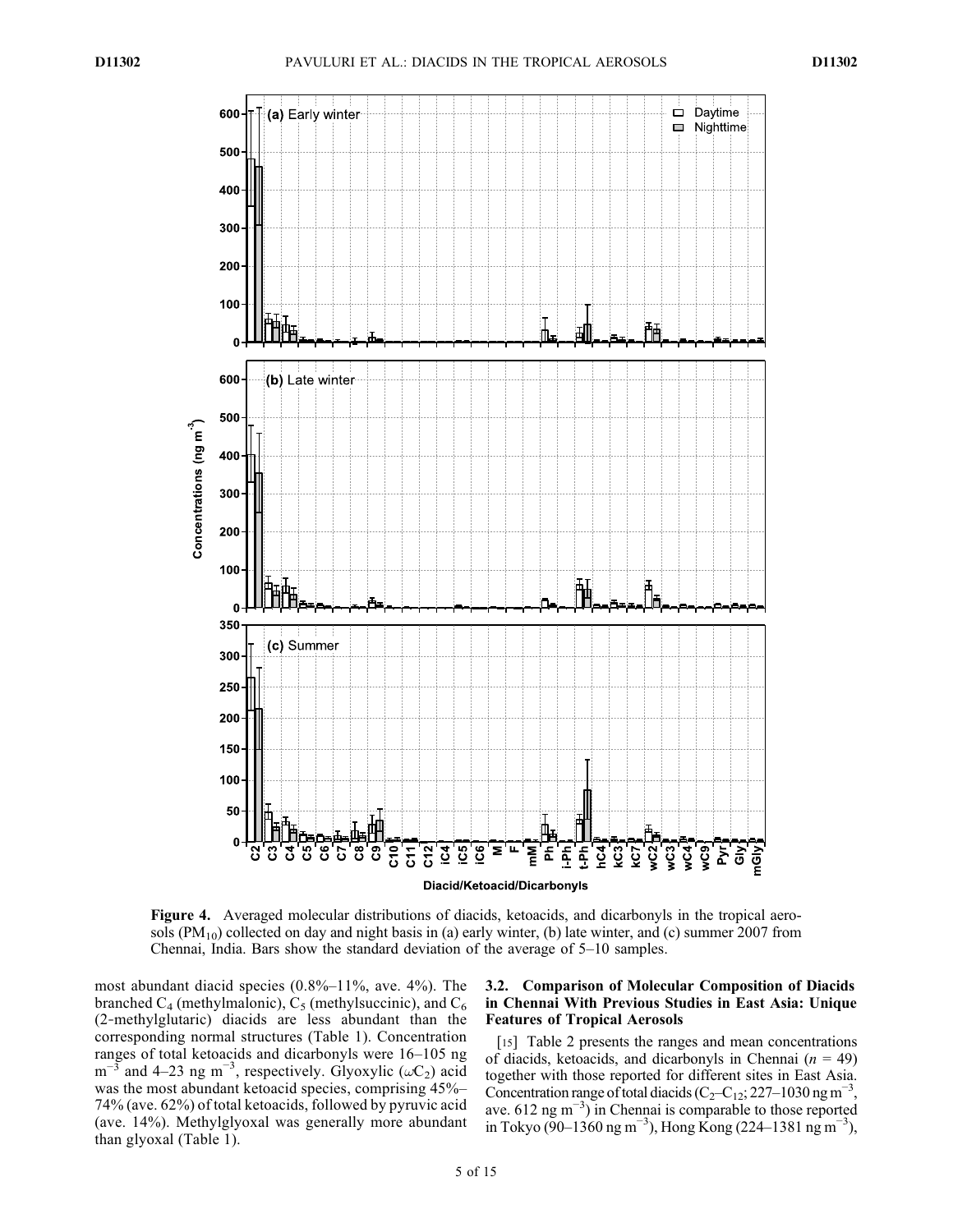

Figure 4. Averaged molecular distributions of diacids, ketoacids, and dicarbonyls in the tropical aerosols  $(PM_{10})$  collected on day and night basis in (a) early winter, (b) late winter, and (c) summer 2007 from Chennai, India. Bars show the standard deviation of the average of 5–10 samples.

most abundant diacid species  $(0.8\% - 11\%$ , ave. 4%). The branched  $C_4$  (methylmalonic),  $C_5$  (methylsuccinic), and  $C_6$ (2‐methylglutaric) diacids are less abundant than the corresponding normal structures (Table 1). Concentration ranges of total ketoacids and dicarbonyls were 16–105 ng m<sup>-3</sup> and 4–23 ng m<sup>-3</sup>, respectively. Glyoxylic ( $\omega C_2$ ) acid was the most abundant ketoacid species, comprising 45%– 74% (ave. 62%) of total ketoacids, followed by pyruvic acid (ave. 14%). Methylglyoxal was generally more abundant than glyoxal (Table 1).

# 3.2. Comparison of Molecular Composition of Diacids in Chennai With Previous Studies in East Asia: Unique Features of Tropical Aerosols

[15] Table 2 presents the ranges and mean concentrations of diacids, ketoacids, and dicarbonyls in Chennai ( $n = 49$ ) together with those reported for different sites in East Asia. Concentration range of total diacids ( $C_2$ – $C_{12}$ ; 227–1030 ng m<sup>-3</sup>, ave. 612 ng m−<sup>3</sup> ) in Chennai is comparable to those reported in Tokyo (90–1360 ng m<sup>−3</sup>), Hong Kong (224–1381 ng m<sup>−3</sup>),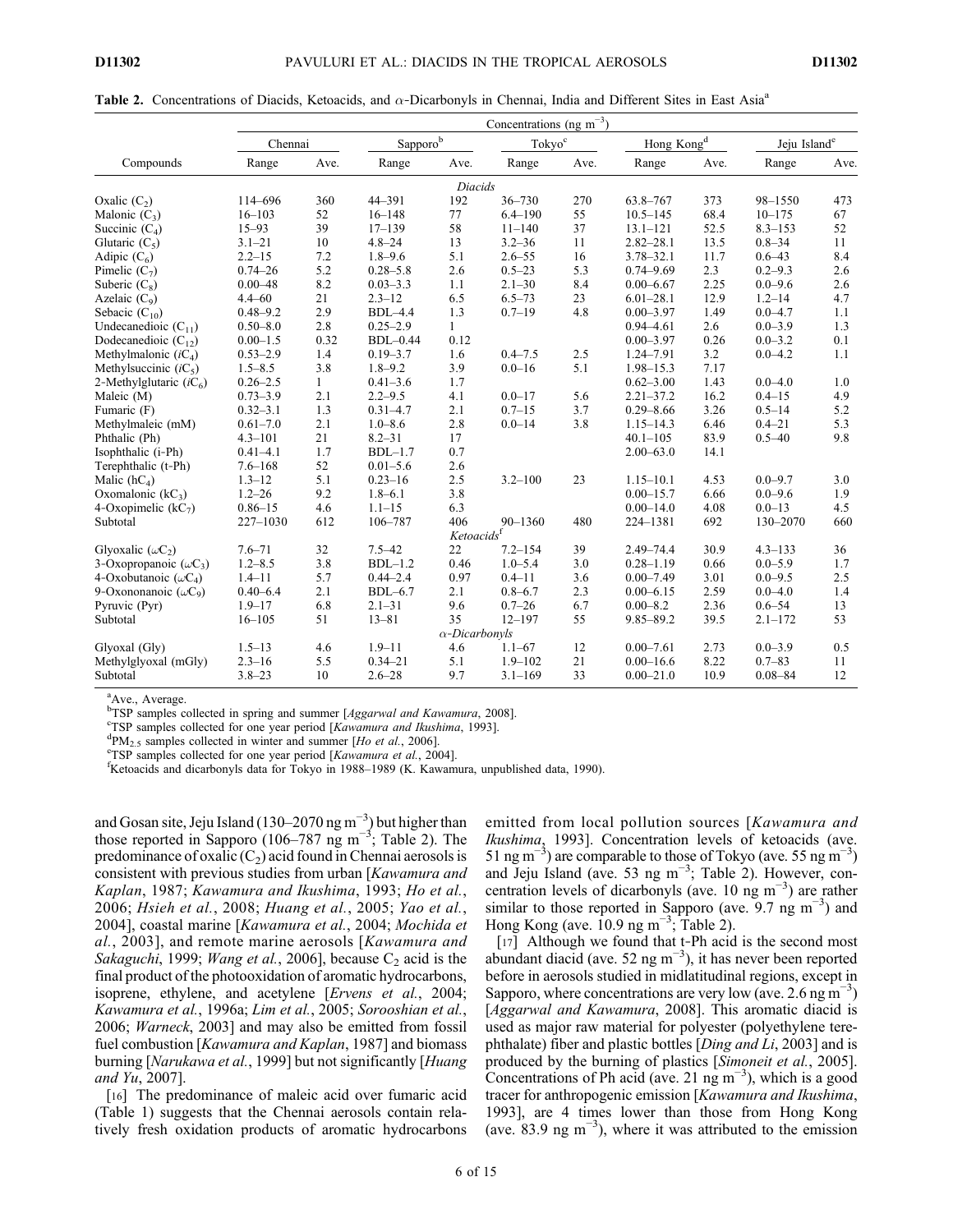|                               | Concentrations (ng m <sup>-3</sup> ) |              |              |                        |                                                    |      |                        |      |                          |      |
|-------------------------------|--------------------------------------|--------------|--------------|------------------------|----------------------------------------------------|------|------------------------|------|--------------------------|------|
|                               | Chennai                              |              | Sapporob     |                        | $\operatorname{\mathsf{Tokyo}}^{\operatorname{c}}$ |      | Hong Kong <sup>d</sup> |      | Jeju Island <sup>e</sup> |      |
| Compounds                     | Range                                | Ave.         | Range        | Ave.                   | Range                                              | Ave. | Range                  | Ave. | Range                    | Ave. |
|                               |                                      |              |              | <b>Diacids</b>         |                                                    |      |                        |      |                          |      |
| Oxalic $(C_2)$                | 114-696                              | 360          | 44-391       | 192                    | $36 - 730$                                         | 270  | 63.8-767               | 373  | 98-1550                  | 473  |
| Malonic $(C_3)$               | $16 - 103$                           | 52           | $16 - 148$   | 77                     | $6.4 - 190$                                        | 55   | $10.5 - 145$           | 68.4 | $10 - 175$               | 67   |
| Succinic $(C_4)$              | $15 - 93$                            | 39           | $17 - 139$   | 58                     | $11 - 140$                                         | 37   | $13.1 - 121$           | 52.5 | $8.3 - 153$              | 52   |
| Glutaric $(C_5)$              | $3.1 - 21$                           | 10           | $4.8 - 24$   | 13                     | $3.2 - 36$                                         | 11   | $2.82 - 28.1$          | 13.5 | $0.8 - 34$               | 11   |
| Adipic $(C_6)$                | $2.2 - 15$                           | 7.2          | $1.8 - 9.6$  | 5.1                    | $2.6 - 55$                                         | 16   | $3.78 - 32.1$          | 11.7 | $0.6 - 43$               | 8.4  |
| Pimelic $(C_7)$               | $0.74 - 26$                          | 5.2          | $0.28 - 5.8$ | 2.6                    | $0.5 - 23$                                         | 5.3  | $0.74 - 9.69$          | 2.3  | $0.2 - 9.3$              | 2.6  |
| Suberic $(C_8)$               | $0.00 - 48$                          | 8.2          | $0.03 - 3.3$ | 1.1                    | $2.1 - 30$                                         | 8.4  | $0.00 - 6.67$          | 2.25 | $0.0 - 9.6$              | 2.6  |
| Azelaic $(C_9)$               | $4.4 - 60$                           | 21           | $2.3 - 12$   | 6.5                    | $6.5 - 73$                                         | 23   | $6.01 - 28.1$          | 12.9 | $1.2 - 14$               | 4.7  |
| Sebacic $(C_{10})$            | $0.48 - 9.2$                         | 2.9          | $BDL-4.4$    | 1.3                    | $0.7 - 19$                                         | 4.8  | $0.00 - 3.97$          | 1.49 | $0.0 - 4.7$              | 1.1  |
| Undecanedioic $(C_{11})$      | $0.50 - 8.0$                         | 2.8          | $0.25 - 2.9$ | $\mathbf{1}$           |                                                    |      | $0.94 - 4.61$          | 2.6  | $0.0 - 3.9$              | 1.3  |
| Dodecanedioic $(C_{12})$      | $0.00 - 1.5$                         | 0.32         | $BDL-0.44$   | 0.12                   |                                                    |      | $0.00 - 3.97$          | 0.26 | $0.0 - 3.2$              | 0.1  |
| Methylmalonic $(iC_4)$        | $0.53 - 2.9$                         | 1.4          | $0.19 - 3.7$ | 1.6                    | $0.4 - 7.5$                                        | 2.5  | 1.24-7.91              | 3.2  | $0.0 - 4.2$              | 1.1  |
| Methyl succinic $(iC_5)$      | $1.5 - 8.5$                          | 3.8          | $1.8 - 9.2$  | 3.9                    | $0.0 - 16$                                         | 5.1  | $1.98 - 15.3$          | 7.17 |                          |      |
| 2-Methylglutaric $(iC_6)$     | $0.26 - 2.5$                         | $\mathbf{1}$ | $0.41 - 3.6$ | 1.7                    |                                                    |      | $0.62 - 3.00$          | 1.43 | $0.0 - 4.0$              | 1.0  |
| Maleic (M)                    | $0.73 - 3.9$                         | 2.1          | $2.2 - 9.5$  | 4.1                    | $0.0 - 17$                                         | 5.6  | $2.21 - 37.2$          | 16.2 | $0.4 - 15$               | 4.9  |
| Fumaric (F)                   | $0.32 - 3.1$                         | 1.3          | $0.31 - 4.7$ | 2.1                    | $0.7 - 15$                                         | 3.7  | $0.29 - 8.66$          | 3.26 | $0.5 - 14$               | 5.2  |
| Methylmaleic (mM)             | $0.61 - 7.0$                         | 2.1          | $1.0 - 8.6$  | 2.8                    | $0.0 - 14$                                         | 3.8  | $1.15 - 14.3$          | 6.46 | $0.4 - 21$               | 5.3  |
| Phthalic (Ph)                 | $4.3 - 101$                          | 21           | $8.2 - 31$   | 17                     |                                                    |      | $40.1 - 105$           | 83.9 | $0.5 - 40$               | 9.8  |
| Isophthalic (i-Ph)            | $0.41 - 4.1$                         | 1.7          | $BDL-1.7$    | 0.7                    |                                                    |      | $2.00 - 63.0$          | 14.1 |                          |      |
| Terephthalic (t-Ph)           | $7.6 - 168$                          | 52           | $0.01 - 5.6$ | 2.6                    |                                                    |      |                        |      |                          |      |
| Malic $(hC_4)$                | $1.3 - 12$                           | 5.1          | $0.23 - 16$  | 2.5                    | $3.2 - 100$                                        | 23   | $1.15 - 10.1$          | 4.53 | $0.0 - 9.7$              | 3.0  |
| Oxomalonic $(kC_3)$           | $1.2 - 26$                           | 9.2          | $1.8 - 6.1$  | 3.8                    |                                                    |      | $0.00 - 15.7$          | 6.66 | $0.0 - 9.6$              | 1.9  |
| 4-Oxopimelic $(kC_7)$         | $0.86 - 15$                          | 4.6          | $1.1 - 15$   | 6.3                    |                                                    |      | $0.00 - 14.0$          | 4.08 | $0.0 - 13$               | 4.5  |
| Subtotal                      | $227 - 1030$                         | 612          | 106-787      | 406                    | $90 - 1360$                                        | 480  | 224-1381               | 692  | 130-2070                 | 660  |
|                               |                                      |              |              | Ketoacids <sup>f</sup> |                                                    |      |                        |      |                          |      |
| Glyoxalic $(\omega C_2)$      | $7.6 - 71$                           | 32           | $7.5 - 42$   | 22                     | $7.2 - 154$                                        | 39   | $2.49 - 74.4$          | 30.9 | $4.3 - 133$              | 36   |
| 3-Oxopropanoic $(\omega C_3)$ | $1.2 - 8.5$                          | 3.8          | $BDL-1.2$    | 0.46                   | $1.0 - 5.4$                                        | 3.0  | $0.28 - 1.19$          | 0.66 | $0.0 - 5.9$              | 1.7  |
| 4-Oxobutanoic $(\omega C_4)$  | $1.4 - 11$                           | 5.7          | $0.44 - 2.4$ | 0.97                   | $0.4 - 11$                                         | 3.6  | $0.00 - 7.49$          | 3.01 | $0.0 - 9.5$              | 2.5  |
| 9-Oxononanoic $(\omega C_9)$  | $0.40 - 6.4$                         | 2.1          | $BDL-6.7$    | 2.1                    | $0.8 - 6.7$                                        | 2.3  | $0.00 - 6.15$          | 2.59 | $0.0 - 4.0$              | 1.4  |
| Pyruvic (Pyr)                 | $1.9 - 17$                           | 6.8          | $2.1 - 31$   | 9.6                    | $0.7 - 26$                                         | 6.7  | $0.00 - 8.2$           | 2.36 | $0.6 - 54$               | 13   |
| Subtotal                      | $16 - 105$                           | 51           | $13 - 81$    | 35                     | $12 - 197$                                         | 55   | 9.85-89.2              | 39.5 | $2.1 - 172$              | 53   |
|                               |                                      |              |              | $\alpha$ -Dicarbonyls  |                                                    |      |                        |      |                          |      |
| Glyoxal (Gly)                 | $1.5 - 13$                           | 4.6          | $1.9 - 11$   | 4.6                    | $1.1 - 67$                                         | 12   | $0.00 - 7.61$          | 2.73 | $0.0 - 3.9$              | 0.5  |
| Methylglyoxal (mGly)          | $2.3 - 16$                           | 5.5          | $0.34 - 21$  | 5.1                    | $1.9 - 102$                                        | 21   | $0.00 - 16.6$          | 8.22 | $0.7 - 83$               | 11   |
| Subtotal                      | $3.8 - 23$                           | 10           | $2.6 - 28$   | 9.7                    | $3.1 - 169$                                        | 33   | $0.00 - 21.0$          | 10.9 | $0.08 - 84$              | 12   |

<sup>a</sup>Ave., Average.

<sup>b</sup>TSP samples collected in spring and summer [*Aggarwal and Kawamura*, 2008].

<sup>c</sup>TSP samples collected for one year period [Kawamura and Ikushima, 1993].

 ${}^{d}PM_{2.5}$  samples collected in winter and summer [Ho et al., 2006].

<sup>e</sup>TSP samples collected for one year period [Kawamura et al., 2004].

<sup>f</sup>Ketoacids and dicarbonyls data for Tokyo in 1988–1989 (K. Kawamura, unpublished data, 1990).

and Gosan site, Jeju Island (130–2070 ng m<sup>-3</sup>) but higher than those reported in Sapporo (106–787 ng m<sup>-3</sup>; Table 2). The predominance of oxalic  $(C_2)$  acid found in Chennai aerosols is consistent with previous studies from urban [Kawamura and Kaplan, 1987; Kawamura and Ikushima, 1993; Ho et al., 2006; Hsieh et al., 2008; Huang et al., 2005; Yao et al., 2004], coastal marine [Kawamura et al., 2004; Mochida et al., 2003], and remote marine aerosols [Kawamura and Sakaguchi, 1999; Wang et al., 2006], because  $C_2$  acid is the final product of the photooxidation of aromatic hydrocarbons, isoprene, ethylene, and acetylene [Ervens et al., 2004; Kawamura et al., 1996a; Lim et al., 2005; Sorooshian et al., 2006; Warneck, 2003] and may also be emitted from fossil fuel combustion [Kawamura and Kaplan, 1987] and biomass burning [Narukawa et al., 1999] but not significantly [Huang and Yu, 2007].

[16] The predominance of maleic acid over fumaric acid (Table 1) suggests that the Chennai aerosols contain relatively fresh oxidation products of aromatic hydrocarbons emitted from local pollution sources [Kawamura and Ikushima, 1993]. Concentration levels of ketoacids (ave. 51 ng m<sup>-3</sup>) are comparable to those of Tokyo (ave. 55 ng m<sup>-3</sup>) and Jeju Island (ave. 53 ng m−<sup>3</sup> ; Table 2). However, concentration levels of dicarbonyls (ave. 10 ng m−<sup>3</sup> ) are rather similar to those reported in Sapporo (ave. 9.7 ng m<sup>-3</sup>) and Hong Kong (ave.  $10.9$  ng m<sup>-3</sup>; Table 2).

[17] Although we found that t-Ph acid is the second most abundant diacid (ave. 52 ng m<sup>-3</sup>), it has never been reported before in aerosols studied in midlatitudinal regions, except in Sapporo, where concentrations are very low (ave.  $2.6$  ng m<sup>-3</sup>) [Aggarwal and Kawamura, 2008]. This aromatic diacid is used as major raw material for polyester (polyethylene terephthalate) fiber and plastic bottles [Ding and Li, 2003] and is produced by the burning of plastics [Simoneit et al., 2005]. Concentrations of Ph acid (ave. 21 ng m<sup>-3</sup>), which is a good tracer for anthropogenic emission [Kawamura and Ikushima, 1993], are 4 times lower than those from Hong Kong (ave.  $83.9 \text{ ng m}^{-3}$ ), where it was attributed to the emission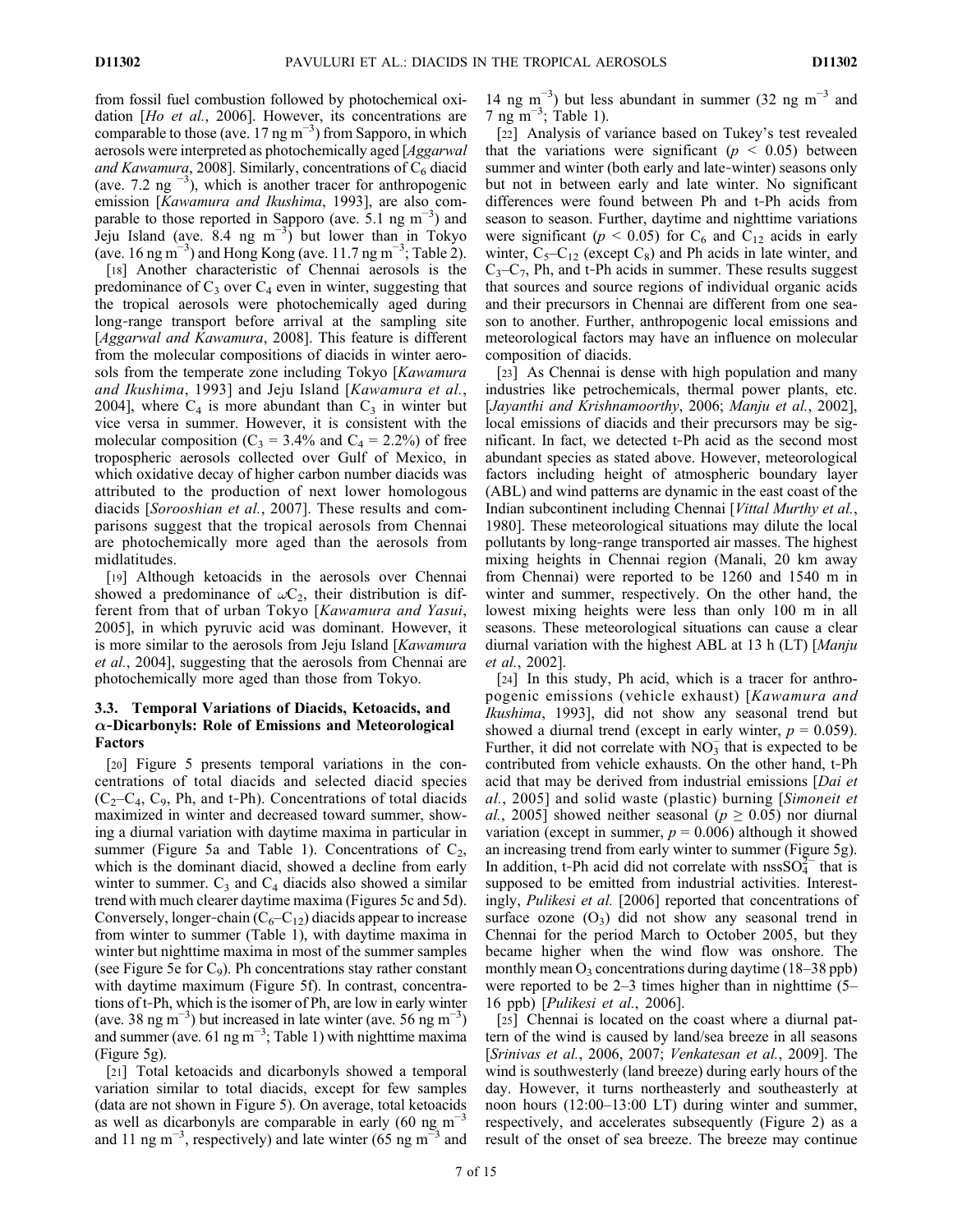from fossil fuel combustion followed by photochemical oxidation [Ho et al., 2006]. However, its concentrations are comparable to those (ave.  $17 \text{ ng m}^{-3}$ ) from Sapporo, in which aerosols were interpreted as photochemically aged [Aggarwal and Kawamura, 2008]. Similarly, concentrations of  $C_6$  diacid (ave. 7.2 ng  $^{-3}$ ), which is another tracer for anthropogenic emission [Kawamura and Ikushima, 1993], are also comparable to those reported in Sapporo (ave.  $5.1 \text{ ng m}^{-3}$ ) and Jeju Island (ave.  $8.4 \text{ ng } \text{m}^{-3}$ ) but lower than in Tokyo (ave. 16 ng m<sup>-3</sup>) and Hong Kong (ave. 11.7 ng m<sup>-3</sup>; Table 2).

[18] Another characteristic of Chennai aerosols is the predominance of  $C_3$  over  $C_4$  even in winter, suggesting that the tropical aerosols were photochemically aged during long‐range transport before arrival at the sampling site [Aggarwal and Kawamura, 2008]. This feature is different from the molecular compositions of diacids in winter aerosols from the temperate zone including Tokyo [Kawamura] and Ikushima, 1993] and Jeju Island [Kawamura et al., 2004], where  $C_4$  is more abundant than  $C_3$  in winter but vice versa in summer. However, it is consistent with the molecular composition ( $C_3 = 3.4\%$  and  $C_4 = 2.2\%$ ) of free tropospheric aerosols collected over Gulf of Mexico, in which oxidative decay of higher carbon number diacids was attributed to the production of next lower homologous diacids [Sorooshian et al., 2007]. These results and comparisons suggest that the tropical aerosols from Chennai are photochemically more aged than the aerosols from midlatitudes.

[19] Although ketoacids in the aerosols over Chennai showed a predominance of  $\omega C_2$ , their distribution is different from that of urban Tokyo [Kawamura and Yasui, 2005], in which pyruvic acid was dominant. However, it is more similar to the aerosols from Jeju Island [Kawamura et al., 2004], suggesting that the aerosols from Chennai are photochemically more aged than those from Tokyo.

## 3.3. Temporal Variations of Diacids, Ketoacids, and  $\alpha$ -Dicarbonyls: Role of Emissions and Meteorological Factors

[20] Figure 5 presents temporal variations in the concentrations of total diacids and selected diacid species  $(C_2-C_4, C_9, Ph, and t-Ph)$ . Concentrations of total diacids maximized in winter and decreased toward summer, showing a diurnal variation with daytime maxima in particular in summer (Figure 5a and Table 1). Concentrations of  $C_2$ , which is the dominant diacid, showed a decline from early winter to summer.  $C_3$  and  $C_4$  diacids also showed a similar trend with much clearer daytime maxima (Figures 5c and 5d). Conversely, longer-chain  $(C_6-C_{12})$  diacids appear to increase from winter to summer (Table 1), with daytime maxima in winter but nighttime maxima in most of the summer samples (see Figure 5e for  $C_9$ ). Ph concentrations stay rather constant with daytime maximum (Figure 5f). In contrast, concentrations of t‐Ph, which is the isomer of Ph, are low in early winter (ave. 38 ng m<sup>-3</sup>) but increased in late winter (ave. 56 ng m<sup>-3</sup>) and summer (ave. 61 ng m<sup>-3</sup>; Table 1) with nighttime maxima (Figure 5g).

[21] Total ketoacids and dicarbonyls showed a temporal variation similar to total diacids, except for few samples (data are not shown in Figure 5). On average, total ketoacids as well as dicarbonyls are comparable in early (60 ng m−<sup>3</sup> and 11 ng m<sup>-3</sup>, respectively) and late winter (65 ng m<sup>-3</sup> and

14 ng m<sup>-3</sup>) but less abundant in summer (32 ng m<sup>-3</sup> and  $7 \text{ ng } \text{m}^{-3}$ ; Table 1).

[22] Analysis of variance based on Tukey's test revealed that the variations were significant ( $p \leq 0.05$ ) between summer and winter (both early and late-winter) seasons only but not in between early and late winter. No significant differences were found between Ph and t‐Ph acids from season to season. Further, daytime and nighttime variations were significant ( $p < 0.05$ ) for C<sub>6</sub> and C<sub>12</sub> acids in early winter,  $C_5-C_{12}$  (except  $C_8$ ) and Ph acids in late winter, and  $C_3-C_7$ , Ph, and t-Ph acids in summer. These results suggest that sources and source regions of individual organic acids and their precursors in Chennai are different from one season to another. Further, anthropogenic local emissions and meteorological factors may have an influence on molecular composition of diacids.

[23] As Chennai is dense with high population and many industries like petrochemicals, thermal power plants, etc. [Jayanthi and Krishnamoorthy, 2006; Manju et al., 2002], local emissions of diacids and their precursors may be significant. In fact, we detected t‐Ph acid as the second most abundant species as stated above. However, meteorological factors including height of atmospheric boundary layer (ABL) and wind patterns are dynamic in the east coast of the Indian subcontinent including Chennai [Vittal Murthy et al., 1980]. These meteorological situations may dilute the local pollutants by long‐range transported air masses. The highest mixing heights in Chennai region (Manali, 20 km away from Chennai) were reported to be 1260 and 1540 m in winter and summer, respectively. On the other hand, the lowest mixing heights were less than only 100 m in all seasons. These meteorological situations can cause a clear diurnal variation with the highest ABL at 13 h (LT) [Manju et al., 2002].

[24] In this study, Ph acid, which is a tracer for anthropogenic emissions (vehicle exhaust) [Kawamura and Ikushima, 1993], did not show any seasonal trend but showed a diurnal trend (except in early winter,  $p = 0.059$ ). Further, it did not correlate with  $NO_3^-$  that is expected to be contributed from vehicle exhausts. On the other hand, t‐Ph acid that may be derived from industrial emissions [Dai et al., 2005] and solid waste (plastic) burning [Simoneit et al., 2005] showed neither seasonal ( $p \ge 0.05$ ) nor diurnal variation (except in summer,  $p = 0.006$ ) although it showed an increasing trend from early winter to summer (Figure 5g). In addition, t-Ph acid did not correlate with nss $SO_4^{2-}$  that is supposed to be emitted from industrial activities. Interestingly, Pulikesi et al. [2006] reported that concentrations of surface ozone  $(O_3)$  did not show any seasonal trend in Chennai for the period March to October 2005, but they became higher when the wind flow was onshore. The monthly mean  $O_3$  concentrations during daytime (18–38 ppb) were reported to be 2–3 times higher than in nighttime (5– 16 ppb) [Pulikesi et al., 2006].

[25] Chennai is located on the coast where a diurnal pattern of the wind is caused by land/sea breeze in all seasons [Srinivas et al., 2006, 2007; Venkatesan et al., 2009]. The wind is southwesterly (land breeze) during early hours of the day. However, it turns northeasterly and southeasterly at noon hours (12:00–13:00 LT) during winter and summer, respectively, and accelerates subsequently (Figure 2) as a result of the onset of sea breeze. The breeze may continue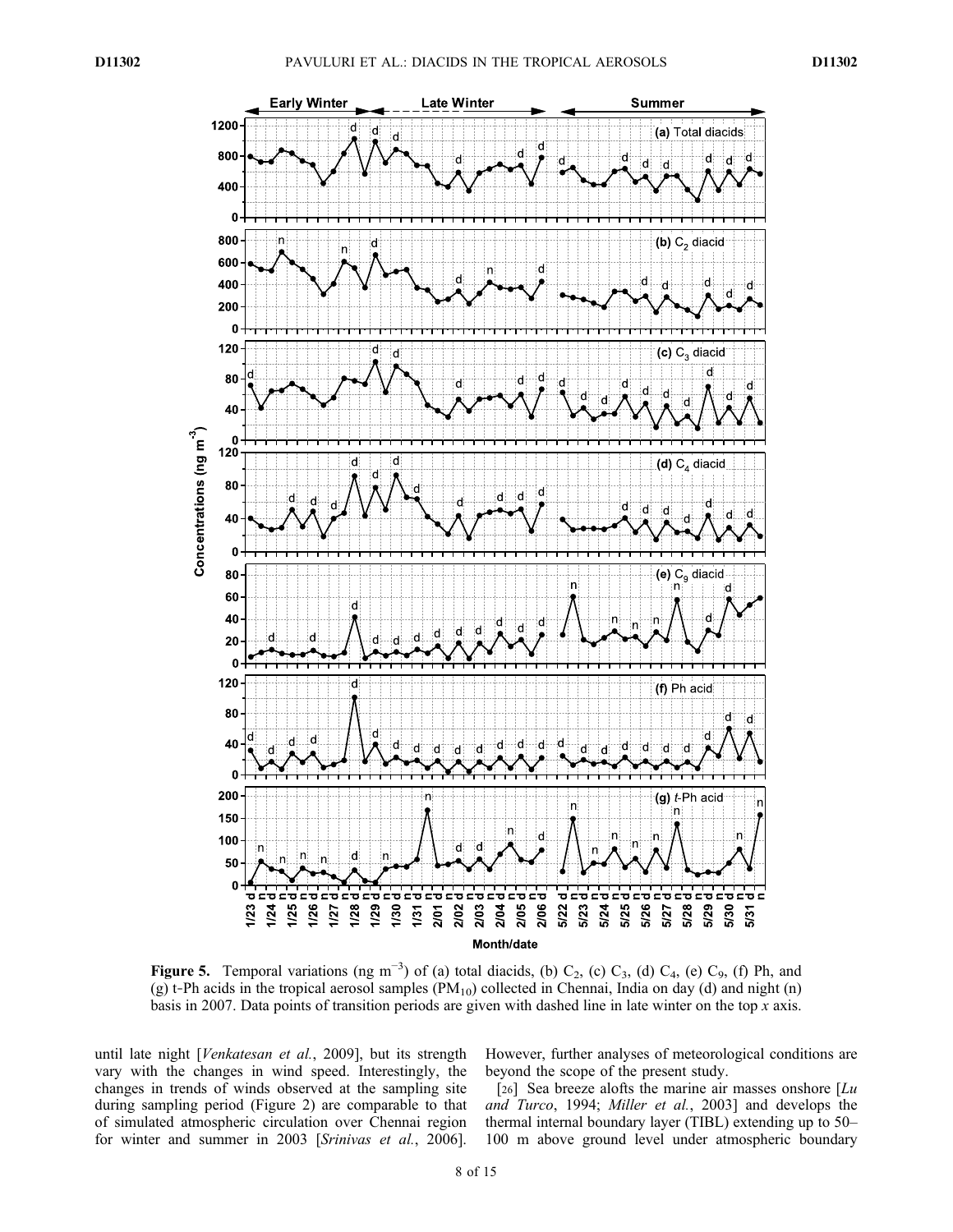

Figure 5. Temporal variations (ng m<sup>-3</sup>) of (a) total diacids, (b)  $C_2$ , (c)  $C_3$ , (d)  $C_4$ , (e)  $C_9$ , (f) Ph, and (g) t-Ph acids in the tropical aerosol samples  $(PM_{10})$  collected in Chennai, India on day (d) and night (n) basis in 2007. Data points of transition periods are given with dashed line in late winter on the top x axis.

until late night [Venkatesan et al., 2009], but its strength vary with the changes in wind speed. Interestingly, the changes in trends of winds observed at the sampling site during sampling period (Figure 2) are comparable to that of simulated atmospheric circulation over Chennai region for winter and summer in 2003 [Srinivas et al., 2006].

However, further analyses of meteorological conditions are beyond the scope of the present study.

[26] Sea breeze alofts the marine air masses onshore  $\lfloor Lu \rfloor$ and Turco, 1994; Miller et al., 2003] and develops the thermal internal boundary layer (TIBL) extending up to 50– 100 m above ground level under atmospheric boundary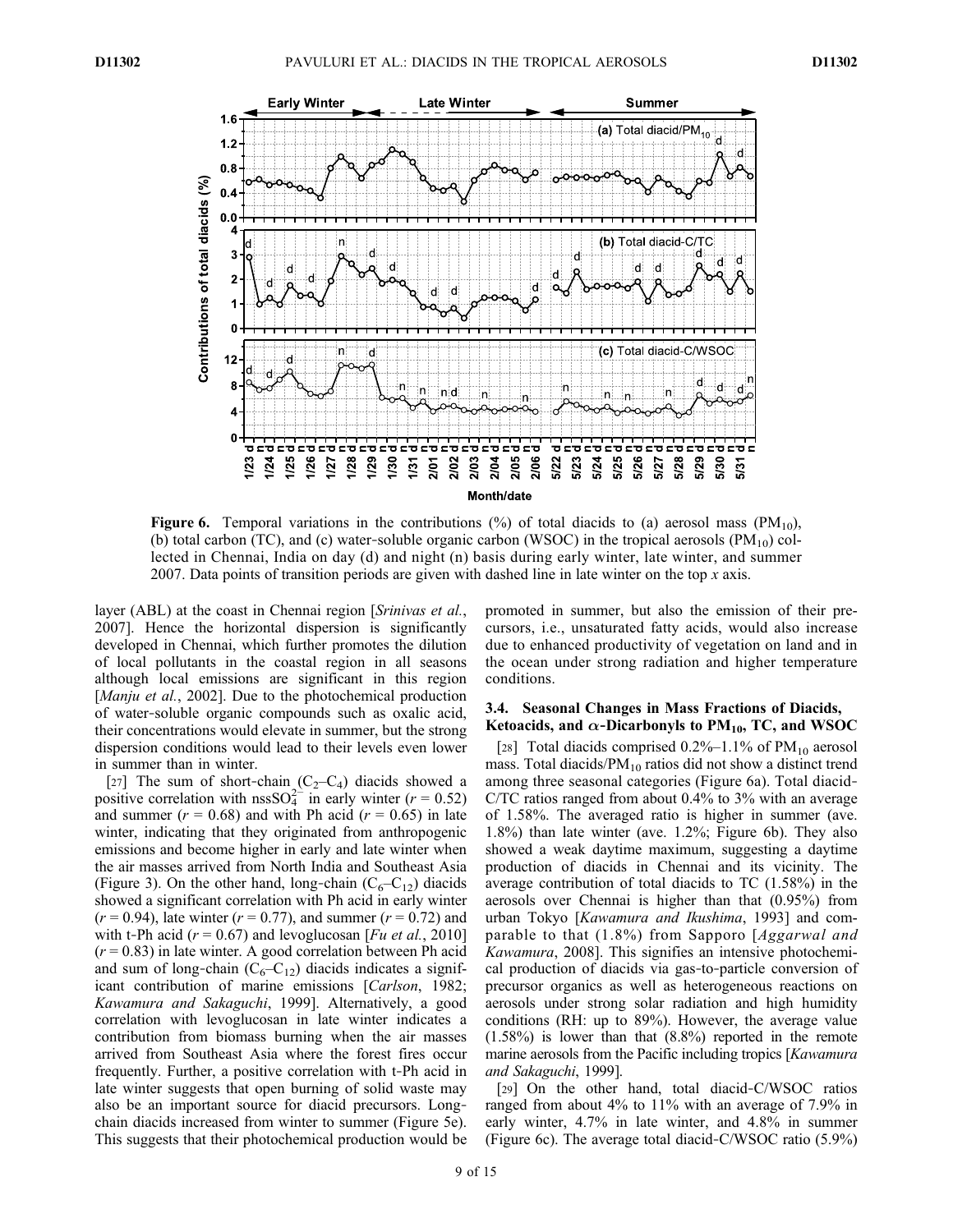

**Figure 6.** Temporal variations in the contributions  $\frac{6}{6}$  of total diacids to (a) aerosol mass  $\left(\frac{PM_{10}}{10}\right)$ , (b) total carbon (TC), and (c) water-soluble organic carbon (WSOC) in the tropical aerosols  $(PM_{10})$  collected in Chennai, India on day (d) and night (n) basis during early winter, late winter, and summer 2007. Data points of transition periods are given with dashed line in late winter on the top  $x$  axis.

layer (ABL) at the coast in Chennai region [Srinivas et al., 2007]. Hence the horizontal dispersion is significantly developed in Chennai, which further promotes the dilution of local pollutants in the coastal region in all seasons although local emissions are significant in this region [*Manju et al.*, 2002]. Due to the photochemical production of water‐soluble organic compounds such as oxalic acid, their concentrations would elevate in summer, but the strong dispersion conditions would lead to their levels even lower in summer than in winter.

[27] The sum of short-chain  $(C_2-C_4)$  diacids showed a positive correlation with nssSO $_4^{2-}$  in early winter (r = 0.52) and summer ( $r = 0.68$ ) and with Ph acid ( $r = 0.65$ ) in late winter, indicating that they originated from anthropogenic emissions and become higher in early and late winter when the air masses arrived from North India and Southeast Asia (Figure 3). On the other hand, long-chain  $(C_6-C_{12})$  diacids showed a significant correlation with Ph acid in early winter  $(r = 0.94)$ , late winter  $(r = 0.77)$ , and summer  $(r = 0.72)$  and with t-Ph acid ( $r = 0.67$ ) and levoglucosan [*Fu et al.*, 2010]  $(r = 0.83)$  in late winter. A good correlation between Ph acid and sum of long-chain  $(C_6-C_{12})$  diacids indicates a significant contribution of marine emissions [Carlson, 1982; Kawamura and Sakaguchi, 1999]. Alternatively, a good correlation with levoglucosan in late winter indicates a contribution from biomass burning when the air masses arrived from Southeast Asia where the forest fires occur frequently. Further, a positive correlation with t‐Ph acid in late winter suggests that open burning of solid waste may also be an important source for diacid precursors. Long‐ chain diacids increased from winter to summer (Figure 5e). This suggests that their photochemical production would be

promoted in summer, but also the emission of their precursors, i.e., unsaturated fatty acids, would also increase due to enhanced productivity of vegetation on land and in the ocean under strong radiation and higher temperature conditions.

#### 3.4. Seasonal Changes in Mass Fractions of Diacids, Ketoacids, and  $\alpha$ -Dicarbonyls to PM<sub>10</sub>, TC, and WSOC

[28] Total diacids comprised  $0.2\%$ –1.1% of PM<sub>10</sub> aerosol mass. Total diacids/ $PM_{10}$  ratios did not show a distinct trend among three seasonal categories (Figure 6a). Total diacid‐ C/TC ratios ranged from about 0.4% to 3% with an average of 1.58%. The averaged ratio is higher in summer (ave. 1.8%) than late winter (ave. 1.2%; Figure 6b). They also showed a weak daytime maximum, suggesting a daytime production of diacids in Chennai and its vicinity. The average contribution of total diacids to TC (1.58%) in the aerosols over Chennai is higher than that (0.95%) from urban Tokyo [Kawamura and Ikushima, 1993] and comparable to that (1.8%) from Sapporo [Aggarwal and Kawamura, 2008]. This signifies an intensive photochemical production of diacids via gas‐to‐particle conversion of precursor organics as well as heterogeneous reactions on aerosols under strong solar radiation and high humidity conditions (RH: up to 89%). However, the average value  $(1.58\%)$  is lower than that  $(8.8\%)$  reported in the remote marine aerosols from the Pacific including tropics [*Kawamura*] and Sakaguchi, 1999].

[29] On the other hand, total diacid-C/WSOC ratios ranged from about 4% to 11% with an average of 7.9% in early winter, 4.7% in late winter, and 4.8% in summer (Figure 6c). The average total diacid‐C/WSOC ratio (5.9%)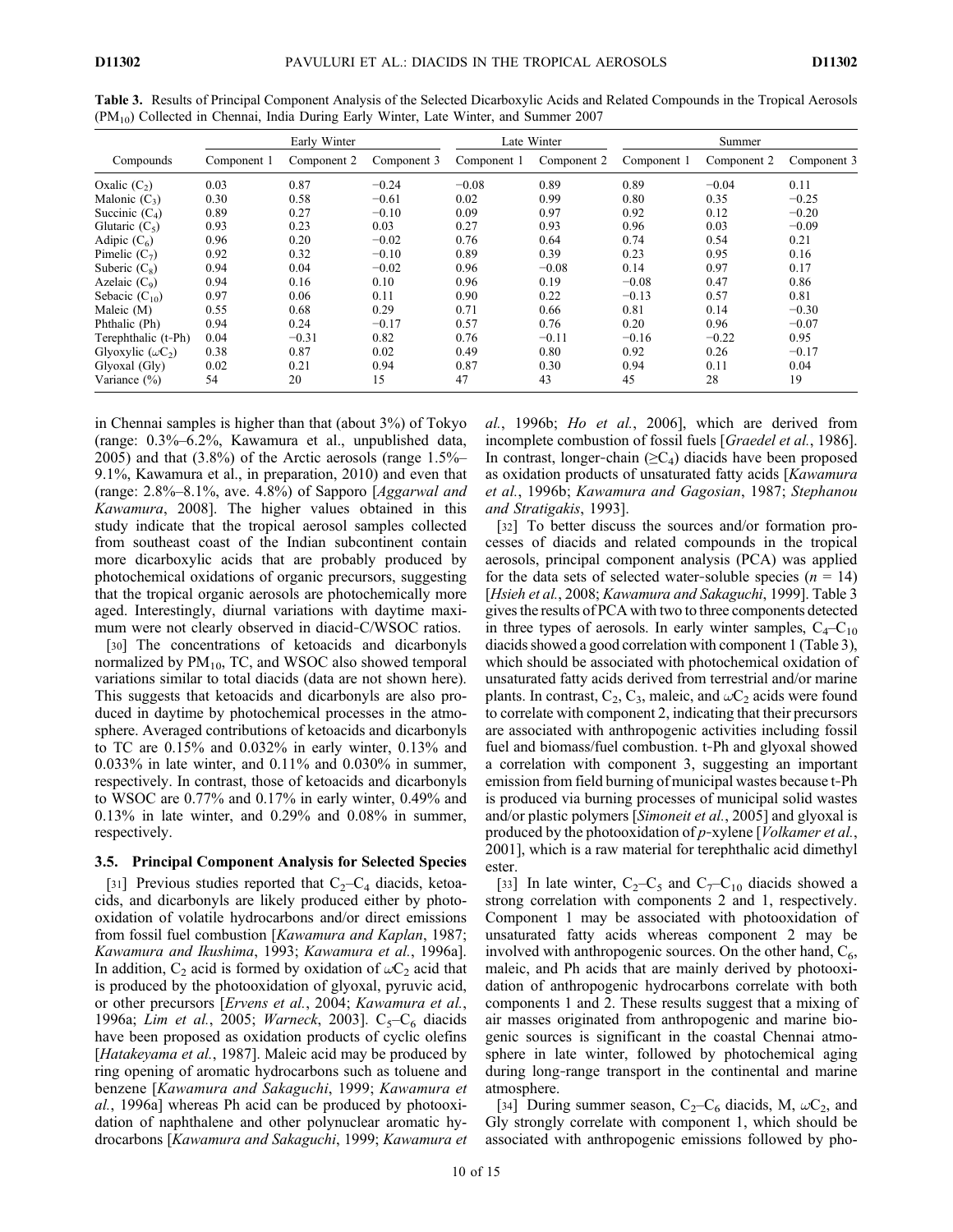|                          | Early Winter |             |             |             | Late Winter | Summer      |             |             |
|--------------------------|--------------|-------------|-------------|-------------|-------------|-------------|-------------|-------------|
| Compounds                | Component 1  | Component 2 | Component 3 | Component 1 | Component 2 | Component 1 | Component 2 | Component 3 |
| Oxalic $(C_2)$           | 0.03         | 0.87        | $-0.24$     | $-0.08$     | 0.89        | 0.89        | $-0.04$     | 0.11        |
| Malonic $(C_3)$          | 0.30         | 0.58        | $-0.61$     | 0.02        | 0.99        | 0.80        | 0.35        | $-0.25$     |
| Succinic $(C_4)$         | 0.89         | 0.27        | $-0.10$     | 0.09        | 0.97        | 0.92        | 0.12        | $-0.20$     |
| Glutaric $(C_5)$         | 0.93         | 0.23        | 0.03        | 0.27        | 0.93        | 0.96        | 0.03        | $-0.09$     |
| Adipic $(C_6)$           | 0.96         | 0.20        | $-0.02$     | 0.76        | 0.64        | 0.74        | 0.54        | 0.21        |
| Pimelic $(C_7)$          | 0.92         | 0.32        | $-0.10$     | 0.89        | 0.39        | 0.23        | 0.95        | 0.16        |
| Suberic $(C_8)$          | 0.94         | 0.04        | $-0.02$     | 0.96        | $-0.08$     | 0.14        | 0.97        | 0.17        |
| Azelaic $(C_9)$          | 0.94         | 0.16        | 0.10        | 0.96        | 0.19        | $-0.08$     | 0.47        | 0.86        |
| Sebacic $(C_{10})$       | 0.97         | 0.06        | 0.11        | 0.90        | 0.22        | $-0.13$     | 0.57        | 0.81        |
| Maleic (M)               | 0.55         | 0.68        | 0.29        | 0.71        | 0.66        | 0.81        | 0.14        | $-0.30$     |
| Phthalic (Ph)            | 0.94         | 0.24        | $-0.17$     | 0.57        | 0.76        | 0.20        | 0.96        | $-0.07$     |
| Terephthalic (t-Ph)      | 0.04         | $-0.31$     | 0.82        | 0.76        | $-0.11$     | $-0.16$     | $-0.22$     | 0.95        |
| Glyoxylic $(\omega C_2)$ | 0.38         | 0.87        | 0.02        | 0.49        | 0.80        | 0.92        | 0.26        | $-0.17$     |
| Glyoxal (Gly)            | 0.02         | 0.21        | 0.94        | 0.87        | 0.30        | 0.94        | 0.11        | 0.04        |
| Variance (%)             | 54           | 20          | 15          | 47          | 43          | 45          | 28          | 19          |

Table 3. Results of Principal Component Analysis of the Selected Dicarboxylic Acids and Related Compounds in the Tropical Aerosols (PM10) Collected in Chennai, India During Early Winter, Late Winter, and Summer 2007

in Chennai samples is higher than that (about 3%) of Tokyo (range: 0.3%–6.2%, Kawamura et al., unpublished data, 2005) and that (3.8%) of the Arctic aerosols (range 1.5%– 9.1%, Kawamura et al., in preparation, 2010) and even that (range:  $2.8\% - 8.1\%$ , ave. 4.8%) of Sapporo [Aggarwal and Kawamura, 2008]. The higher values obtained in this study indicate that the tropical aerosol samples collected from southeast coast of the Indian subcontinent contain more dicarboxylic acids that are probably produced by photochemical oxidations of organic precursors, suggesting that the tropical organic aerosols are photochemically more aged. Interestingly, diurnal variations with daytime maximum were not clearly observed in diacid‐C/WSOC ratios.

[30] The concentrations of ketoacids and dicarbonyls normalized by  $PM_{10}$ , TC, and WSOC also showed temporal variations similar to total diacids (data are not shown here). This suggests that ketoacids and dicarbonyls are also produced in daytime by photochemical processes in the atmosphere. Averaged contributions of ketoacids and dicarbonyls to TC are 0.15% and 0.032% in early winter, 0.13% and 0.033% in late winter, and 0.11% and 0.030% in summer, respectively. In contrast, those of ketoacids and dicarbonyls to WSOC are 0.77% and 0.17% in early winter, 0.49% and 0.13% in late winter, and 0.29% and 0.08% in summer, respectively.

### 3.5. Principal Component Analysis for Selected Species

[31] Previous studies reported that  $C_2-C_4$  diacids, ketoacids, and dicarbonyls are likely produced either by photooxidation of volatile hydrocarbons and/or direct emissions from fossil fuel combustion [Kawamura and Kaplan, 1987; Kawamura and Ikushima, 1993; Kawamura et al., 1996a]. In addition,  $C_2$  acid is formed by oxidation of  $\omega C_2$  acid that is produced by the photooxidation of glyoxal, pyruvic acid, or other precursors [Ervens et al., 2004; Kawamura et al., 1996a; Lim et al., 2005; Warneck, 2003].  $C_5-C_6$  diacids have been proposed as oxidation products of cyclic olefins [Hatakeyama et al., 1987]. Maleic acid may be produced by ring opening of aromatic hydrocarbons such as toluene and benzene [Kawamura and Sakaguchi, 1999; Kawamura et al., 1996a] whereas Ph acid can be produced by photooxidation of naphthalene and other polynuclear aromatic hydrocarbons [Kawamura and Sakaguchi, 1999; Kawamura et al., 1996b; Ho et al., 2006], which are derived from incomplete combustion of fossil fuels [Graedel et al., 1986]. In contrast, longer-chain  $(\geq C_4)$  diacids have been proposed as oxidation products of unsaturated fatty acids [Kawamura et al., 1996b; Kawamura and Gagosian, 1987; Stephanou and Stratigakis, 1993].

[32] To better discuss the sources and/or formation processes of diacids and related compounds in the tropical aerosols, principal component analysis (PCA) was applied for the data sets of selected water-soluble species ( $n = 14$ ) [Hsieh et al., 2008; Kawamura and Sakaguchi, 1999]. Table 3 gives the results of PCA with two to three components detected in three types of aerosols. In early winter samples,  $C_4-C_{10}$ diacids showed a good correlation with component 1 (Table 3), which should be associated with photochemical oxidation of unsaturated fatty acids derived from terrestrial and/or marine plants. In contrast,  $C_2$ ,  $C_3$ , maleic, and  $\omega C_2$  acids were found to correlate with component 2, indicating that their precursors are associated with anthropogenic activities including fossil fuel and biomass/fuel combustion. t‐Ph and glyoxal showed a correlation with component 3, suggesting an important emission from field burning of municipal wastes because t‐Ph is produced via burning processes of municipal solid wastes and/or plastic polymers [*Simoneit et al.*, 2005] and glyoxal is produced by the photooxidation of p-xylene [*Volkamer et al.*, 2001], which is a raw material for terephthalic acid dimethyl ester.

[33] In late winter,  $C_2-C_5$  and  $C_7-C_{10}$  diacids showed a strong correlation with components 2 and 1, respectively. Component 1 may be associated with photooxidation of unsaturated fatty acids whereas component 2 may be involved with anthropogenic sources. On the other hand,  $C_6$ , maleic, and Ph acids that are mainly derived by photooxidation of anthropogenic hydrocarbons correlate with both components 1 and 2. These results suggest that a mixing of air masses originated from anthropogenic and marine biogenic sources is significant in the coastal Chennai atmosphere in late winter, followed by photochemical aging during long‐range transport in the continental and marine atmosphere.

[34] During summer season,  $C_2-C_6$  diacids, M,  $\omega C_2$ , and Gly strongly correlate with component 1, which should be associated with anthropogenic emissions followed by pho-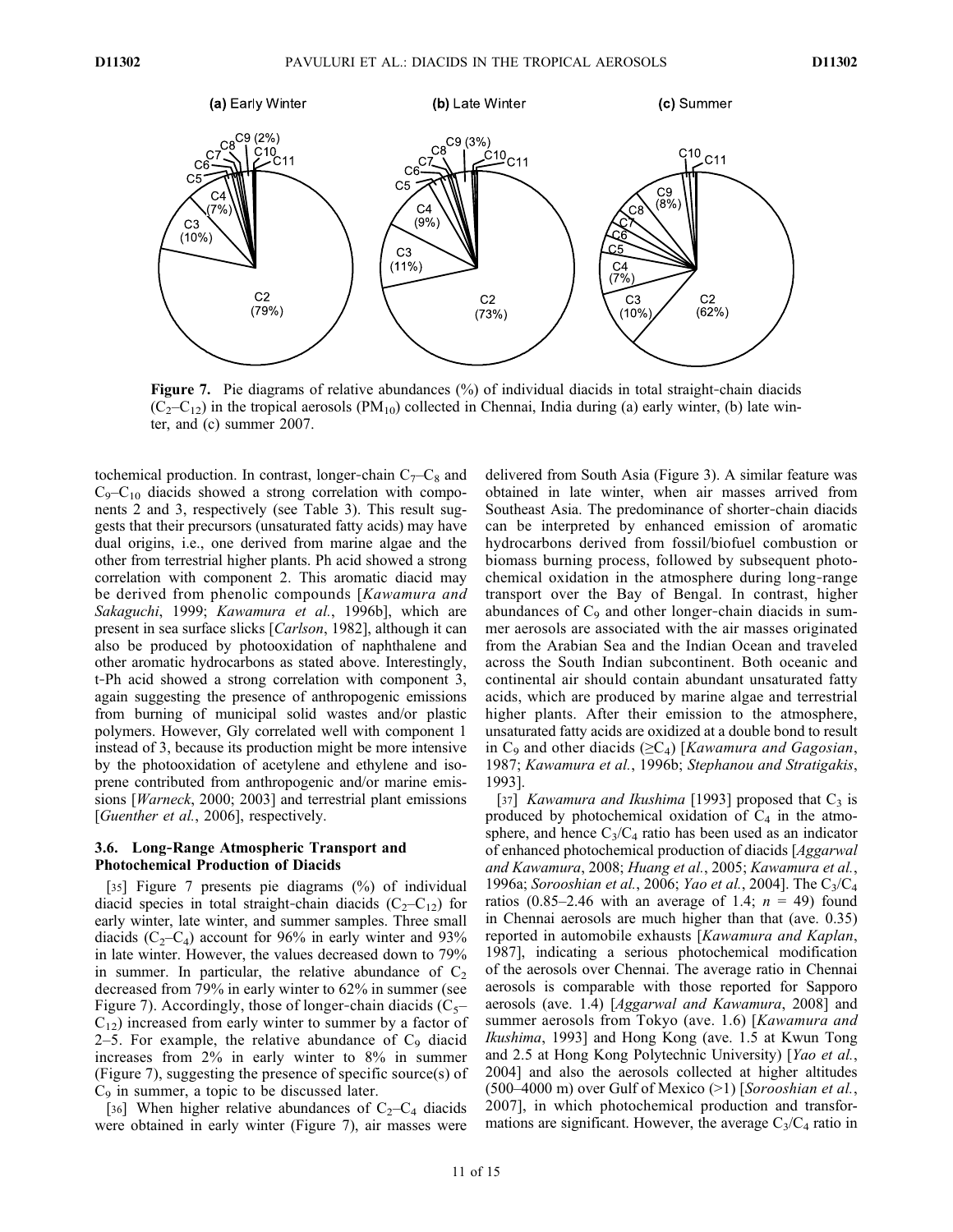

Figure 7. Pie diagrams of relative abundances (%) of individual diacids in total straight-chain diacids  $(C_2-C_{12})$  in the tropical aerosols  $(PM_{10})$  collected in Chennai, India during (a) early winter, (b) late winter, and (c) summer 2007.

tochemical production. In contrast, longer-chain  $C_7-C_8$  and  $C_9-C_{10}$  diacids showed a strong correlation with components 2 and 3, respectively (see Table 3). This result suggests that their precursors (unsaturated fatty acids) may have dual origins, i.e., one derived from marine algae and the other from terrestrial higher plants. Ph acid showed a strong correlation with component 2. This aromatic diacid may be derived from phenolic compounds [Kawamura and Sakaguchi, 1999; Kawamura et al., 1996b], which are present in sea surface slicks [Carlson, 1982], although it can also be produced by photooxidation of naphthalene and other aromatic hydrocarbons as stated above. Interestingly, t‐Ph acid showed a strong correlation with component 3, again suggesting the presence of anthropogenic emissions from burning of municipal solid wastes and/or plastic polymers. However, Gly correlated well with component 1 instead of 3, because its production might be more intensive by the photooxidation of acetylene and ethylene and isoprene contributed from anthropogenic and/or marine emissions [*Warneck*, 2000; 2003] and terrestrial plant emissions [*Guenther et al.*, 2006], respectively.

### 3.6. Long‐Range Atmospheric Transport and Photochemical Production of Diacids

[35] Figure 7 presents pie diagrams (%) of individual diacid species in total straight-chain diacids  $(C_2-C_{12})$  for early winter, late winter, and summer samples. Three small diacids ( $C_2-C_4$ ) account for 96% in early winter and 93% in late winter. However, the values decreased down to 79% in summer. In particular, the relative abundance of  $C_2$ decreased from 79% in early winter to 62% in summer (see Figure 7). Accordingly, those of longer-chain diacids  $(C_5$ –  $C_{12}$ ) increased from early winter to summer by a factor of 2–5. For example, the relative abundance of  $C_9$  diacid increases from 2% in early winter to 8% in summer (Figure 7), suggesting the presence of specific source(s) of  $C_9$  in summer, a topic to be discussed later.

[36] When higher relative abundances of  $C_2-C_4$  diacids were obtained in early winter (Figure 7), air masses were delivered from South Asia (Figure 3). A similar feature was obtained in late winter, when air masses arrived from Southeast Asia. The predominance of shorter‐chain diacids can be interpreted by enhanced emission of aromatic hydrocarbons derived from fossil/biofuel combustion or biomass burning process, followed by subsequent photochemical oxidation in the atmosphere during long‐range transport over the Bay of Bengal. In contrast, higher abundances of  $C_9$  and other longer-chain diacids in summer aerosols are associated with the air masses originated from the Arabian Sea and the Indian Ocean and traveled across the South Indian subcontinent. Both oceanic and continental air should contain abundant unsaturated fatty acids, which are produced by marine algae and terrestrial higher plants. After their emission to the atmosphere, unsaturated fatty acids are oxidized at a double bond to result in  $C_9$  and other diacids ( $\geq C_4$ ) [Kawamura and Gagosian, 1987; Kawamura et al., 1996b; Stephanou and Stratigakis, 1993].

[37] *Kawamura and Ikushima* [1993] proposed that  $C_3$  is produced by photochemical oxidation of  $C_4$  in the atmosphere, and hence  $C_3/C_4$  ratio has been used as an indicator of enhanced photochemical production of diacids [Aggarwal and Kawamura, 2008; Huang et al., 2005; Kawamura et al., 1996a; Sorooshian et al., 2006; Yao et al., 2004]. The C<sub>3</sub>/C<sub>4</sub> ratios (0.85–2.46 with an average of 1.4;  $n = 49$ ) found in Chennai aerosols are much higher than that (ave. 0.35) reported in automobile exhausts [Kawamura and Kaplan, 1987], indicating a serious photochemical modification of the aerosols over Chennai. The average ratio in Chennai aerosols is comparable with those reported for Sapporo aerosols (ave. 1.4) [Aggarwal and Kawamura, 2008] and summer aerosols from Tokyo (ave. 1.6) [Kawamura and Ikushima, 1993] and Hong Kong (ave. 1.5 at Kwun Tong and 2.5 at Hong Kong Polytechnic University) [Yao et al., 2004] and also the aerosols collected at higher altitudes  $(500-4000 \text{ m})$  over Gulf of Mexico  $(>1)$  [Sorooshian et al., 2007], in which photochemical production and transformations are significant. However, the average  $C_3/C_4$  ratio in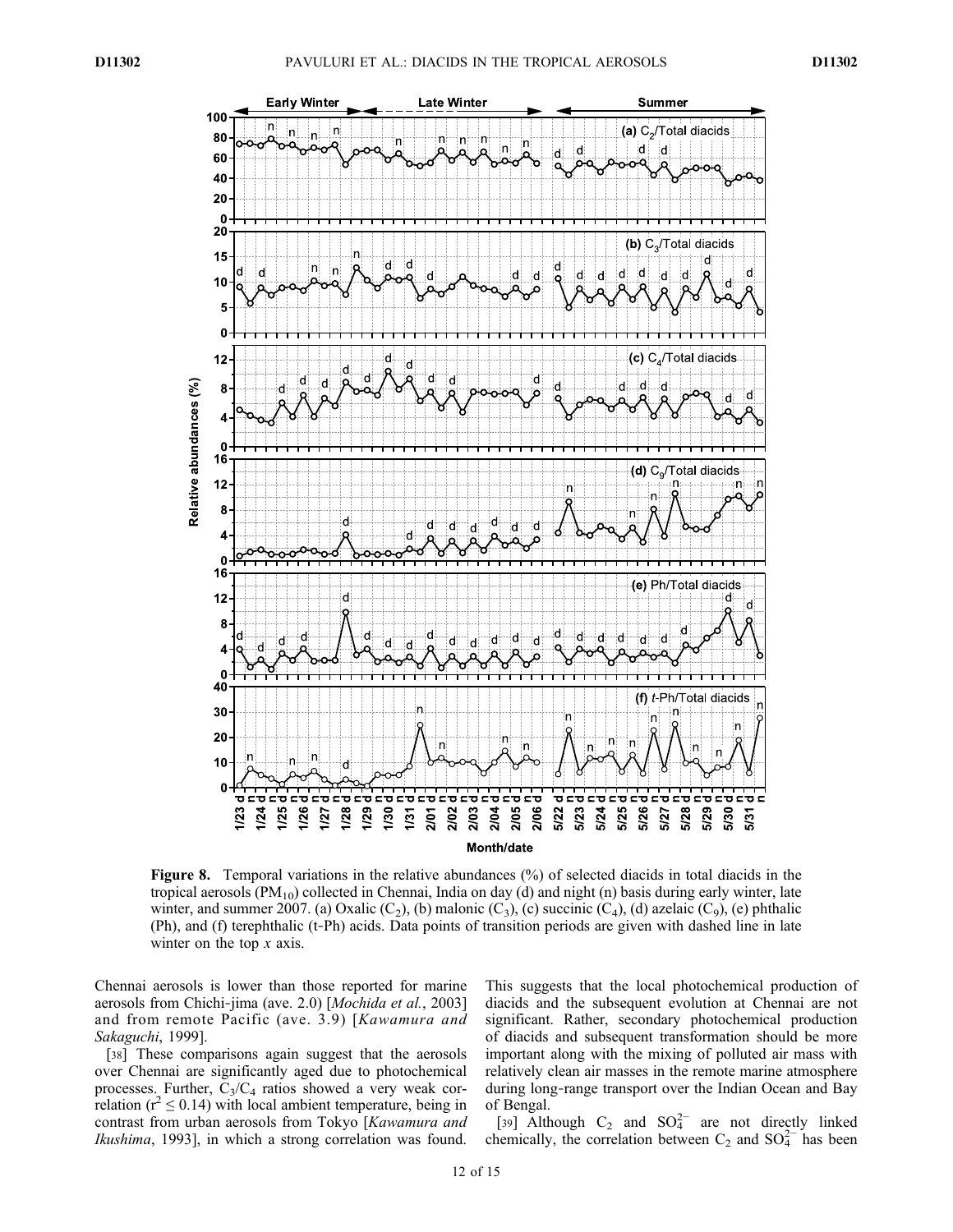

Figure 8. Temporal variations in the relative abundances (%) of selected diacids in total diacids in the tropical aerosols  $(PM_{10})$  collected in Chennai, India on day (d) and night (n) basis during early winter, late winter, and summer 2007. (a) Oxalic  $(C_2)$ , (b) malonic  $(C_3)$ , (c) succinic  $(C_4)$ , (d) azelaic  $(C_9)$ , (e) phthalic (Ph), and (f) terephthalic (t‐Ph) acids. Data points of transition periods are given with dashed line in late winter on the top  $x$  axis.

Chennai aerosols is lower than those reported for marine aerosols from Chichi-jima (ave. 2.0) [Mochida et al., 2003] and from remote Pacific (ave. 3.9) [Kawamura and Sakaguchi, 1999].

[38] These comparisons again suggest that the aerosols over Chennai are significantly aged due to photochemical processes. Further,  $C_3/C_4$  ratios showed a very weak correlation ( $r^2 \le 0.14$ ) with local ambient temperature, being in contrast from urban aerosols from Tokyo [Kawamura and Ikushima, 1993], in which a strong correlation was found. This suggests that the local photochemical production of diacids and the subsequent evolution at Chennai are not significant. Rather, secondary photochemical production of diacids and subsequent transformation should be more important along with the mixing of polluted air mass with relatively clean air masses in the remote marine atmosphere during long‐range transport over the Indian Ocean and Bay of Bengal.

[39] Although  $C_2$  and  $SO_4^{2-}$  are not directly linked chemically, the correlation between  $C_2$  and  $SO_4^{2-}$  has been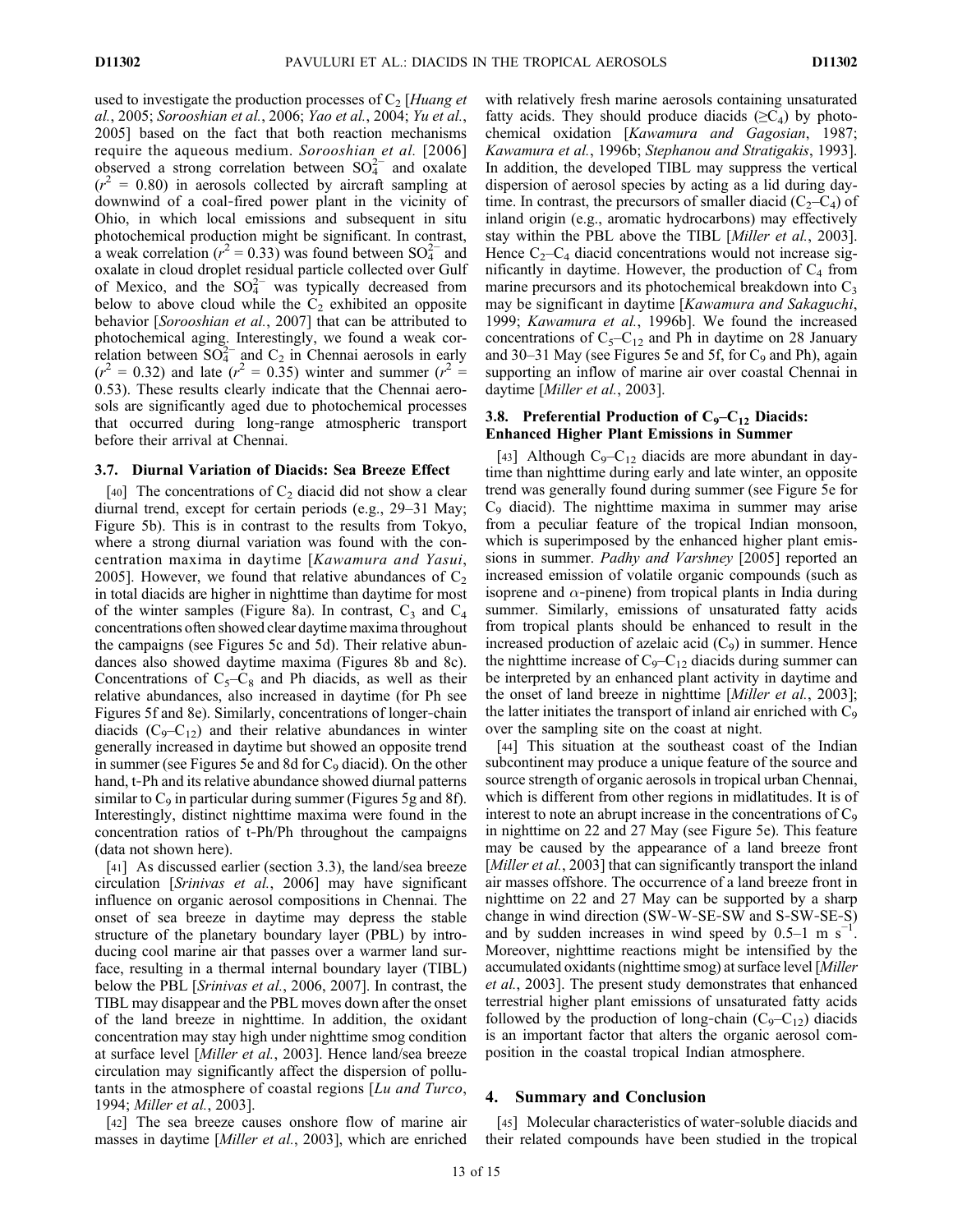used to investigate the production processes of  $C_2$  [Huang et al., 2005; Sorooshian et al., 2006; Yao et al., 2004; Yu et al., 2005] based on the fact that both reaction mechanisms require the aqueous medium. Sorooshian et al. [2006] observed a strong correlation between  $SO_4^{2-}$  and oxalate  $(r^2 = 0.80)$  in aerosols collected by aircraft sampling at downwind of a coal‐fired power plant in the vicinity of Ohio, in which local emissions and subsequent in situ photochemical production might be significant. In contrast, a weak correlation ( $r^2 = 0.33$ ) was found between SO $_4^{2-}$  and oxalate in cloud droplet residual particle collected over Gulf of Mexico, and the  $SO_4^{2-}$  was typically decreased from below to above cloud while the  $C_2$  exhibited an opposite behavior [Sorooshian et al., 2007] that can be attributed to photochemical aging. Interestingly, we found a weak correlation between  $SO_4^{2-}$  and  $C_2$  in Chennai aerosols in early  $(r^2 = 0.32)$  and late  $(r^2 = 0.35)$  winter and summer  $(r^2 = 0.32)$ 0.53). These results clearly indicate that the Chennai aerosols are significantly aged due to photochemical processes that occurred during long‐range atmospheric transport before their arrival at Chennai.

### 3.7. Diurnal Variation of Diacids: Sea Breeze Effect

[40] The concentrations of  $C_2$  diacid did not show a clear diurnal trend, except for certain periods (e.g., 29–31 May; Figure 5b). This is in contrast to the results from Tokyo, where a strong diurnal variation was found with the concentration maxima in daytime [Kawamura and Yasui, 2005]. However, we found that relative abundances of  $C_2$ in total diacids are higher in nighttime than daytime for most of the winter samples (Figure 8a). In contrast,  $C_3$  and  $C_4$ concentrations often showed clear daytime maxima throughout the campaigns (see Figures 5c and 5d). Their relative abundances also showed daytime maxima (Figures 8b and 8c). Concentrations of  $C_5-C_8$  and Ph diacids, as well as their relative abundances, also increased in daytime (for Ph see Figures 5f and 8e). Similarly, concentrations of longer-chain diacids  $(C_9 - C_{12})$  and their relative abundances in winter generally increased in daytime but showed an opposite trend in summer (see Figures 5e and 8d for  $C_9$  diacid). On the other hand, t-Ph and its relative abundance showed diurnal patterns similar to  $C_9$  in particular during summer (Figures 5g and 8f). Interestingly, distinct nighttime maxima were found in the concentration ratios of t‐Ph/Ph throughout the campaigns (data not shown here).

[41] As discussed earlier (section 3.3), the land/sea breeze circulation [Srinivas et al., 2006] may have significant influence on organic aerosol compositions in Chennai. The onset of sea breeze in daytime may depress the stable structure of the planetary boundary layer (PBL) by introducing cool marine air that passes over a warmer land surface, resulting in a thermal internal boundary layer (TIBL) below the PBL [Srinivas et al., 2006, 2007]. In contrast, the TIBL may disappear and the PBL moves down after the onset of the land breeze in nighttime. In addition, the oxidant concentration may stay high under nighttime smog condition at surface level [Miller et al., 2003]. Hence land/sea breeze circulation may significantly affect the dispersion of pollutants in the atmosphere of coastal regions [Lu and Turco, 1994; Miller et al., 2003].

[42] The sea breeze causes onshore flow of marine air masses in daytime [*Miller et al.*, 2003], which are enriched with relatively fresh marine aerosols containing unsaturated fatty acids. They should produce diacids  $(\geq C_4)$  by photochemical oxidation [Kawamura and Gagosian, 1987; Kawamura et al., 1996b; Stephanou and Stratigakis, 1993]. In addition, the developed TIBL may suppress the vertical dispersion of aerosol species by acting as a lid during daytime. In contrast, the precursors of smaller diacid  $(C_2-C_4)$  of inland origin (e.g., aromatic hydrocarbons) may effectively stay within the PBL above the TIBL [Miller et al., 2003]. Hence  $C_2-C_4$  diacid concentrations would not increase significantly in daytime. However, the production of  $C_4$  from marine precursors and its photochemical breakdown into  $C_3$ may be significant in daytime [Kawamura and Sakaguchi, 1999; Kawamura et al., 1996b]. We found the increased concentrations of  $C_5-C_{12}$  and Ph in daytime on 28 January and 30–31 May (see Figures 5e and 5f, for  $C_9$  and Ph), again supporting an inflow of marine air over coastal Chennai in daytime [Miller et al., 2003].

## 3.8. Preferential Production of  $C_9 - C_{12}$  Diacids: Enhanced Higher Plant Emissions in Summer

[43] Although  $C_9 - C_{12}$  diacids are more abundant in daytime than nighttime during early and late winter, an opposite trend was generally found during summer (see Figure 5e for C9 diacid). The nighttime maxima in summer may arise from a peculiar feature of the tropical Indian monsoon, which is superimposed by the enhanced higher plant emissions in summer. Padhy and Varshney [2005] reported an increased emission of volatile organic compounds (such as isoprene and  $\alpha$ -pinene) from tropical plants in India during summer. Similarly, emissions of unsaturated fatty acids from tropical plants should be enhanced to result in the increased production of azelaic acid  $(C_9)$  in summer. Hence the nighttime increase of  $C_9 - C_{12}$  diacids during summer can be interpreted by an enhanced plant activity in daytime and the onset of land breeze in nighttime [*Miller et al.*, 2003]; the latter initiates the transport of inland air enriched with  $C_9$ over the sampling site on the coast at night.

[44] This situation at the southeast coast of the Indian subcontinent may produce a unique feature of the source and source strength of organic aerosols in tropical urban Chennai, which is different from other regions in midlatitudes. It is of interest to note an abrupt increase in the concentrations of  $C_9$ in nighttime on 22 and 27 May (see Figure 5e). This feature may be caused by the appearance of a land breeze front [*Miller et al.*, 2003] that can significantly transport the inland air masses offshore. The occurrence of a land breeze front in nighttime on 22 and 27 May can be supported by a sharp change in wind direction (SW‐W‐SE‐SW and S‐SW‐SE‐S) and by sudden increases in wind speed by  $0.5-1$  m s<sup>-1</sup>. Moreover, nighttime reactions might be intensified by the accumulated oxidants (nighttime smog) at surface level [Miller et al., 2003]. The present study demonstrates that enhanced terrestrial higher plant emissions of unsaturated fatty acids followed by the production of long-chain  $(C_9-C_{12})$  diacids is an important factor that alters the organic aerosol composition in the coastal tropical Indian atmosphere.

# 4. Summary and Conclusion

[45] Molecular characteristics of water-soluble diacids and their related compounds have been studied in the tropical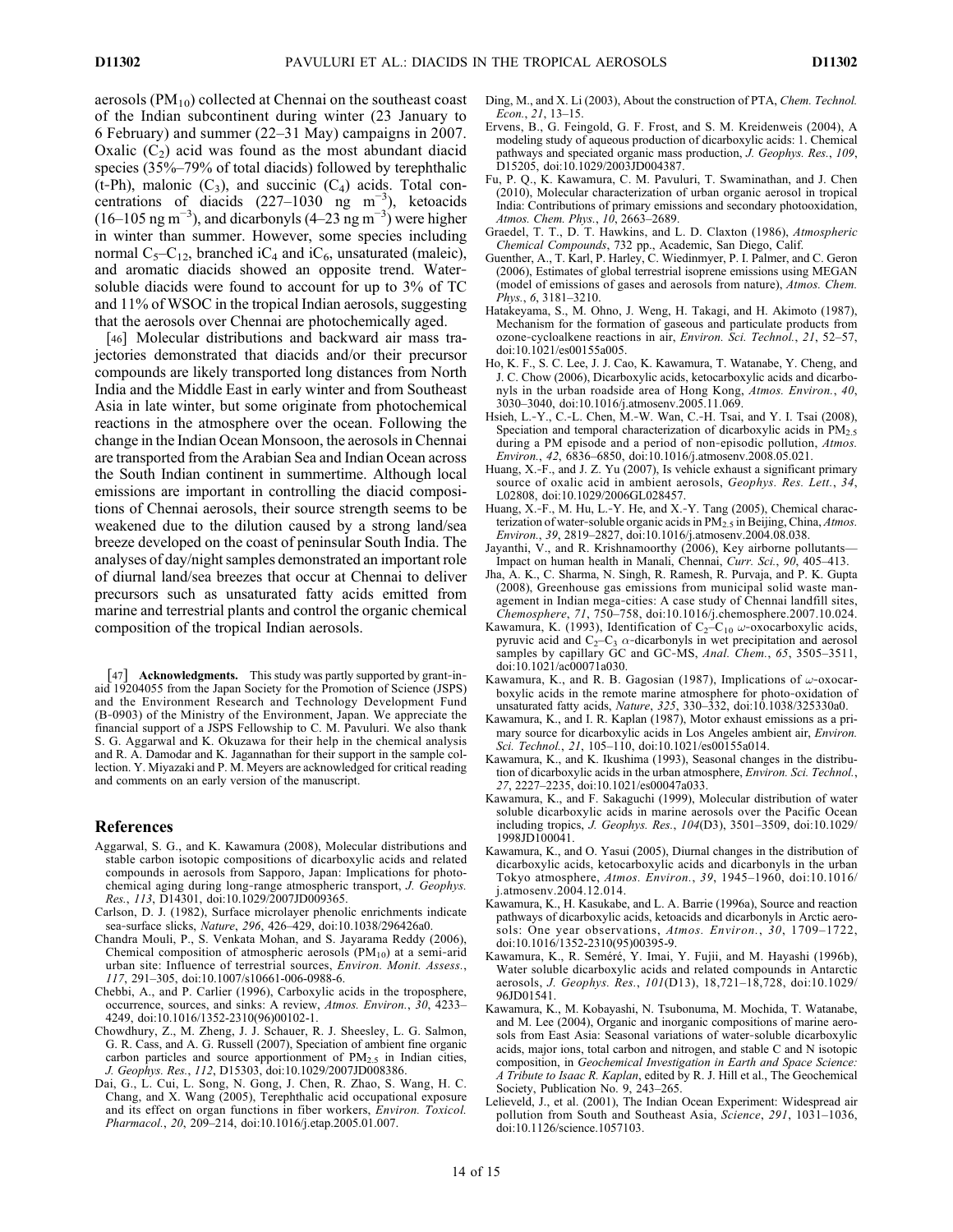aerosols  $(PM_{10})$  collected at Chennai on the southeast coast of the Indian subcontinent during winter (23 January to 6 February) and summer (22–31 May) campaigns in 2007. Oxalic  $(C_2)$  acid was found as the most abundant diacid species (35%–79% of total diacids) followed by terephthalic (t-Ph), malonic  $(C_3)$ , and succinic  $(C_4)$  acids. Total concentrations of diacids  $(227-1030 \text{ mg m}^{-3})$ , ketoacids  $(16-105 \text{ ng m}^{-3})$ , and dicarbonyls  $(4-23 \text{ ng m}^{-3})$  were higher in winter than summer. However, some species including normal  $C_5-C_{12}$ , branched i $C_4$  and i $C_6$ , unsaturated (maleic), and aromatic diacids showed an opposite trend. Water‐ soluble diacids were found to account for up to 3% of TC and 11% of WSOC in the tropical Indian aerosols, suggesting that the aerosols over Chennai are photochemically aged.

[46] Molecular distributions and backward air mass trajectories demonstrated that diacids and/or their precursor compounds are likely transported long distances from North India and the Middle East in early winter and from Southeast Asia in late winter, but some originate from photochemical reactions in the atmosphere over the ocean. Following the change in the Indian Ocean Monsoon, the aerosols in Chennai are transported from the Arabian Sea and Indian Ocean across the South Indian continent in summertime. Although local emissions are important in controlling the diacid compositions of Chennai aerosols, their source strength seems to be weakened due to the dilution caused by a strong land/sea breeze developed on the coast of peninsular South India. The analyses of day/night samples demonstrated an important role of diurnal land/sea breezes that occur at Chennai to deliver precursors such as unsaturated fatty acids emitted from marine and terrestrial plants and control the organic chemical composition of the tropical Indian aerosols.

[47] **Acknowledgments.** This study was partly supported by grant-inaid 19204055 from the Japan Society for the Promotion of Science (JSPS) and the Environment Research and Technology Development Fund (B‐0903) of the Ministry of the Environment, Japan. We appreciate the financial support of a JSPS Fellowship to C. M. Pavuluri. We also thank S. G. Aggarwal and K. Okuzawa for their help in the chemical analysis and R. A. Damodar and K. Jagannathan for their support in the sample collection. Y. Miyazaki and P. M. Meyers are acknowledged for critical reading and comments on an early version of the manuscript.

#### References

- Aggarwal, S. G., and K. Kawamura (2008), Molecular distributions and stable carbon isotopic compositions of dicarboxylic acids and related compounds in aerosols from Sapporo, Japan: Implications for photochemical aging during long-range atmospheric transport, J. Geophys. Res., 113, D14301, doi:10.1029/2007JD009365.
- Carlson, D. J. (1982), Surface microlayer phenolic enrichments indicate sea‐surface slicks, Nature, 296, 426–429, doi:10.1038/296426a0.
- Chandra Mouli, P., S. Venkata Mohan, and S. Jayarama Reddy (2006), Chemical composition of atmospheric aerosols  $(PM_{10})$  at a semi-arid urban site: Influence of terrestrial sources, Environ. Monit. Assess., 117, 291–305, doi:10.1007/s10661-006-0988-6.
- Chebbi, A., and P. Carlier (1996), Carboxylic acids in the troposphere, occurrence, sources, and sinks: A review, Atmos. Environ., 30, 4233– 4249, doi:10.1016/1352-2310(96)00102-1.
- Chowdhury, Z., M. Zheng, J. J. Schauer, R. J. Sheesley, L. G. Salmon, G. R. Cass, and A. G. Russell (2007), Speciation of ambient fine organic carbon particles and source apportionment of  $PM_{2.5}$  in Indian cities, J. Geophys. Res., 112, D15303, doi:10.1029/2007JD008386.
- Dai, G., L. Cui, L. Song, N. Gong, J. Chen, R. Zhao, S. Wang, H. C. Chang, and X. Wang (2005), Terephthalic acid occupational exposure and its effect on organ functions in fiber workers, Environ. Toxicol. Pharmacol., 20, 209–214, doi:10.1016/j.etap.2005.01.007.
- Ding, M., and X. Li (2003), About the construction of PTA, Chem. Technol. Econ., 21, 13–15.
- Ervens, B., G. Feingold, G. F. Frost, and S. M. Kreidenweis (2004), A modeling study of aqueous production of dicarboxylic acids: 1. Chemical pathways and speciated organic mass production, J. Geophys. Res., 109, D15205, doi:10.1029/2003JD004387.
- Fu, P. Q., K. Kawamura, C. M. Pavuluri, T. Swaminathan, and J. Chen (2010), Molecular characterization of urban organic aerosol in tropical India: Contributions of primary emissions and secondary photooxidation, Atmos. Chem. Phys., 10, 2663–2689.
- Graedel, T. T., D. T. Hawkins, and L. D. Claxton (1986), Atmospheric Chemical Compounds, 732 pp., Academic, San Diego, Calif.
- Guenther, A., T. Karl, P. Harley, C. Wiedinmyer, P. I. Palmer, and C. Geron (2006), Estimates of global terrestrial isoprene emissions using MEGAN (model of emissions of gases and aerosols from nature), Atmos. Chem. Phys., 6, 3181–3210.
- Hatakeyama, S., M. Ohno, J. Weng, H. Takagi, and H. Akimoto (1987), Mechanism for the formation of gaseous and particulate products from ozone‐cycloalkene reactions in air, Environ. Sci. Technol., 21, 52–57, doi:10.1021/es00155a005.
- Ho, K. F., S. C. Lee, J. J. Cao, K. Kawamura, T. Watanabe, Y. Cheng, and J. C. Chow (2006), Dicarboxylic acids, ketocarboxylic acids and dicarbonyls in the urban roadside area of Hong Kong, Atmos. Environ., 40, 3030–3040, doi:10.1016/j.atmosenv.2005.11.069.
- Hsieh, L.‐Y., C.‐L. Chen, M.‐W. Wan, C.‐H. Tsai, and Y. I. Tsai (2008), Speciation and temporal characterization of dicarboxylic acids in  $PM_{2.5}$ during a PM episode and a period of non-episodic pollution, Atmos. Environ., 42, 6836–6850, doi:10.1016/j.atmosenv.2008.05.021.
- Huang, X.‐F., and J. Z. Yu (2007), Is vehicle exhaust a significant primary source of oxalic acid in ambient aerosols, Geophys. Res. Lett., 34, L02808, doi:10.1029/2006GL028457.
- Huang, X.‐F., M. Hu, L.‐Y. He, and X.‐Y. Tang (2005), Chemical characterization of water-soluble organic acids in  $PM_{2.5}$  in Beijing, China, Atmos. Environ., 39, 2819–2827, doi:10.1016/j.atmosenv.2004.08.038.
- Jayanthi, V., and R. Krishnamoorthy (2006), Key airborne pollutants— Impact on human health in Manali, Chennai, Curr. Sci., 90, 405–413.
- Jha, A. K., C. Sharma, N. Singh, R. Ramesh, R. Purvaja, and P. K. Gupta (2008), Greenhouse gas emissions from municipal solid waste management in Indian mega‐cities: A case study of Chennai landfill sites, Chemosphere, 71, 750–758, doi:10.1016/j.chemosphere.2007.10.024.
- Kawamura, K. (1993), Identification of  $C_2-C_{10} \omega$ -oxocarboxylic acids, pyruvic acid and  $C_2-C_3$   $\alpha$ -dicarbonyls in wet precipitation and aerosol samples by capillary GC and GC-MS, Anal. Chem., 65, 3505–3511, doi:10.1021/ac00071a030.
- Kawamura, K., and R. B. Gagosian (1987), Implications of  $\omega$ -oxocarboxylic acids in the remote marine atmosphere for photo‐oxidation of unsaturated fatty acids, Nature, 325, 330–332, doi:10.1038/325330a0.
- Kawamura, K., and I. R. Kaplan (1987), Motor exhaust emissions as a primary source for dicarboxylic acids in Los Angeles ambient air, Environ. Sci. Technol., 21, 105–110, doi:10.1021/es00155a014.
- Kawamura, K., and K. Ikushima (1993), Seasonal changes in the distribution of dicarboxylic acids in the urban atmosphere, Environ. Sci. Technol., 27, 2227–2235, doi:10.1021/es00047a033.
- Kawamura, K., and F. Sakaguchi (1999), Molecular distribution of water soluble dicarboxylic acids in marine aerosols over the Pacific Ocean including tropics, J. Geophys. Res., 104(D3), 3501–3509, doi:10.1029/ 1998JD100041.
- Kawamura, K., and O. Yasui (2005), Diurnal changes in the distribution of dicarboxylic acids, ketocarboxylic acids and dicarbonyls in the urban Tokyo atmosphere, Atmos. Environ., 39, 1945–1960, doi:10.1016/ j.atmosenv.2004.12.014.
- Kawamura, K., H. Kasukabe, and L. A. Barrie (1996a), Source and reaction pathways of dicarboxylic acids, ketoacids and dicarbonyls in Arctic aerosols: One year observations, Atmos. Environ., 30, 1709–1722, doi:10.1016/1352-2310(95)00395-9.
- Kawamura, K., R. Seméré, Y. Imai, Y. Fujii, and M. Hayashi (1996b), Water soluble dicarboxylic acids and related compounds in Antarctic aerosols, J. Geophys. Res., 101(D13), 18,721–18,728, doi:10.1029/ 96JD01541.
- Kawamura, K., M. Kobayashi, N. Tsubonuma, M. Mochida, T. Watanabe, and M. Lee (2004), Organic and inorganic compositions of marine aerosols from East Asia: Seasonal variations of water‐soluble dicarboxylic acids, major ions, total carbon and nitrogen, and stable C and N isotopic composition, in Geochemical Investigation in Earth and Space Science: A Tribute to Isaac R. Kaplan, edited by R. J. Hill et al., The Geochemical Society, Publication No. 9, 243–265.
- Lelieveld, J., et al. (2001), The Indian Ocean Experiment: Widespread air pollution from South and Southeast Asia, Science, 291, 1031-1036, doi:10.1126/science.1057103.